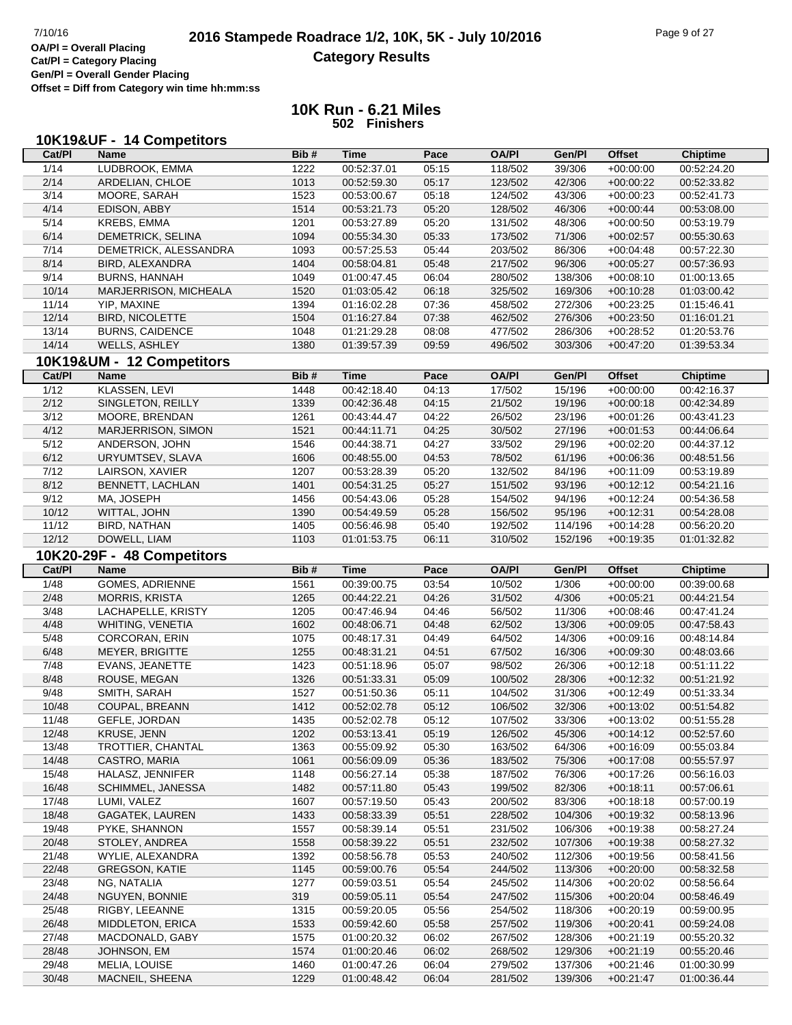#### **2016 Stampede Roadrace 1/2, 10K, 5K - July 10/2016** Page 9 of 27<br> **OA/PI** = Overall Placing **2016 Stampede Roadrace 1/2, 10K, 5K - July 10/2016 Category Results**

**Cat/Pl = Category Placing Gen/Pl = Overall Gender Placing**

**Offset = Diff from Category win time hh:mm:ss**

#### **10K Run - 6.21 Miles 502 Finishers**

| Cat/PI | 10K19&UF - 14 Competitors<br><b>Name</b> | Bib# | <b>Time</b> | Pace           | <b>OA/PI</b> | Gen/Pl  | <b>Offset</b> | <b>Chiptime</b> |
|--------|------------------------------------------|------|-------------|----------------|--------------|---------|---------------|-----------------|
| 1/14   | LUDBROOK, EMMA                           | 1222 | 00:52:37.01 | 05:15          | 118/502      | 39/306  | $+00:00:00$   | 00:52:24.20     |
| 2/14   | ARDELIAN, CHLOE                          | 1013 | 00:52:59.30 | 05:17          | 123/502      | 42/306  | $+00:00:22$   | 00:52:33.82     |
| 3/14   | MOORE, SARAH                             | 1523 | 00:53:00.67 | 05:18          | 124/502      | 43/306  | $+00:00:23$   | 00:52:41.73     |
| 4/14   | EDISON, ABBY                             | 1514 | 00:53:21.73 | 05:20          | 128/502      | 46/306  | $+00:00:44$   | 00:53:08.00     |
| 5/14   | <b>KREBS, EMMA</b>                       | 1201 | 00:53:27.89 | 05:20          | 131/502      | 48/306  | $+00:00:50$   | 00:53:19.79     |
| 6/14   | DEMETRICK, SELINA                        | 1094 | 00:55:34.30 | 05:33          | 173/502      | 71/306  | $+00:02:57$   | 00:55:30.63     |
| 7/14   | DEMETRICK, ALESSANDRA                    | 1093 | 00:57:25.53 | 05:44          | 203/502      | 86/306  | $+00:04:48$   | 00:57:22.30     |
| 8/14   | BIRD, ALEXANDRA                          | 1404 | 00:58:04.81 | 05:48          | 217/502      | 96/306  | $+00:05:27$   | 00:57:36.93     |
| 9/14   | <b>BURNS, HANNAH</b>                     | 1049 | 01:00:47.45 | 06:04          | 280/502      | 138/306 | $+00:08:10$   | 01:00:13.65     |
| 10/14  | MARJERRISON, MICHEALA                    | 1520 | 01:03:05.42 | 06:18          | 325/502      | 169/306 | $+00:10:28$   | 01:03:00.42     |
| 11/14  | YIP, MAXINE                              | 1394 | 01:16:02.28 | 07:36          | 458/502      | 272/306 | $+00:23:25$   | 01:15:46.41     |
|        | <b>BIRD, NICOLETTE</b>                   |      | 01:16:27.84 |                |              |         |               |                 |
| 12/14  |                                          | 1504 |             | 07:38          | 462/502      | 276/306 | $+00:23:50$   | 01:16:01.21     |
| 13/14  | <b>BURNS, CAIDENCE</b>                   | 1048 | 01:21:29.28 | 08:08          | 477/502      | 286/306 | $+00:28:52$   | 01:20:53.76     |
| 14/14  | WELLS, ASHLEY                            | 1380 | 01:39:57.39 | 09:59          | 496/502      | 303/306 | $+00:47:20$   | 01:39:53.34     |
|        | 10K19&UM - 12 Competitors                |      |             |                |              |         |               |                 |
| Cat/PI | Name                                     | Bib# | <b>Time</b> | Pace           | <b>OA/PI</b> | Gen/Pl  | <b>Offset</b> | <b>Chiptime</b> |
| 1/12   | KLASSEN, LEVI                            | 1448 | 00:42:18.40 | 04:13          | 17/502       | 15/196  | $+00.00.00$   | 00:42:16.37     |
| 2/12   | SINGLETON, REILLY                        | 1339 | 00:42:36.48 | 04:15          | 21/502       | 19/196  | $+00:00:18$   | 00:42:34.89     |
| 3/12   | MOORE, BRENDAN                           | 1261 | 00:43:44.47 | 04:22          | 26/502       | 23/196  | $+00:01:26$   | 00:43:41.23     |
| 4/12   | MARJERRISON, SIMON                       | 1521 | 00:44:11.71 | 04:25          | 30/502       | 27/196  | $+00:01:53$   | 00:44:06.64     |
| 5/12   | ANDERSON, JOHN                           | 1546 | 00:44:38.71 | 04:27          | 33/502       | 29/196  | $+00:02:20$   | 00:44:37.12     |
| 6/12   | URYUMTSEV, SLAVA                         | 1606 | 00:48:55.00 | 04:53          | 78/502       | 61/196  | $+00:06:36$   | 00:48:51.56     |
| 7/12   | LAIRSON, XAVIER                          | 1207 | 00:53:28.39 | 05:20          | 132/502      | 84/196  | $+00:11:09$   | 00:53:19.89     |
| 8/12   | <b>BENNETT, LACHLAN</b>                  | 1401 | 00:54:31.25 | 05:27          | 151/502      | 93/196  | $+00:12:12$   | 00:54:21.16     |
| 9/12   | MA, JOSEPH                               | 1456 | 00:54:43.06 | 05:28          | 154/502      | 94/196  | $+00:12:24$   | 00:54:36.58     |
| 10/12  | WITTAL, JOHN                             | 1390 | 00:54:49.59 | 05:28          | 156/502      | 95/196  | $+00:12:31$   | 00:54:28.08     |
| 11/12  | BIRD, NATHAN                             | 1405 | 00:56:46.98 | 05:40          | 192/502      | 114/196 | $+00:14:28$   | 00:56:20.20     |
| 12/12  | DOWELL, LIAM                             | 1103 | 01:01:53.75 | 06:11          | 310/502      | 152/196 | $+00:19:35$   | 01:01:32.82     |
|        |                                          |      |             |                |              |         |               |                 |
|        | 10K20-29F - 48 Competitors               |      |             |                |              |         |               |                 |
| Cat/PI | Name                                     | Bib# | <b>Time</b> | Pace           | <b>OA/PI</b> | Gen/Pl  | <b>Offset</b> | <b>Chiptime</b> |
| 1/48   | GOMES, ADRIENNE                          | 1561 | 00:39:00.75 | 03:54          | 10/502       | 1/306   | $+00.00.00$   | 00:39:00.68     |
| 2/48   | <b>MORRIS, KRISTA</b>                    | 1265 | 00:44:22.21 | 04:26          | 31/502       | 4/306   | $+00:05:21$   | 00:44:21.54     |
| 3/48   | LACHAPELLE, KRISTY                       | 1205 | 00:47:46.94 | 04:46          | 56/502       | 11/306  | $+00:08:46$   | 00:47:41.24     |
| 4/48   | WHITING, VENETIA                         | 1602 | 00:48:06.71 | 04:48          | 62/502       | 13/306  | $+00:09:05$   | 00:47:58.43     |
| 5/48   | <b>CORCORAN, ERIN</b>                    | 1075 | 00:48:17.31 | 04:49          | 64/502       | 14/306  | $+00:09:16$   | 00:48:14.84     |
| 6/48   | MEYER, BRIGITTE                          | 1255 | 00:48:31.21 | 04:51          | 67/502       | 16/306  | $+00:09:30$   | 00:48:03.66     |
| 7/48   | EVANS, JEANETTE                          | 1423 | 00:51:18.96 | 05:07          | 98/502       | 26/306  | $+00:12:18$   | 00:51:11.22     |
| 8/48   | ROUSE, MEGAN                             | 1326 | 00:51:33.31 | 05:09          | 100/502      | 28/306  | $+00:12:32$   | 00:51:21.92     |
| 9/48   | SMITH, SARAH                             | 1527 | 00:51:50.36 | 05:11          | 104/502      | 31/306  | $+00:12:49$   | 00:51:33.34     |
| 10/48  | COUPAL, BREANN                           | 1412 | 00:52:02.78 | 05:12          | 106/502      | 32/306  | $+00:13:02$   | 00:51:54.82     |
| 11/48  | GEFLE, JORDAN                            | 1435 | 00:52:02.78 | 05:12          | 107/502      | 33/306  | $+00:13:02$   | 00:51:55.28     |
| 12/48  | KRUSE, JENN                              | 1202 | 00:53:13.41 | 05:19          | 126/502      | 45/306  | $+00:14:12$   | 00:52:57.60     |
| 13/48  | TROTTIER, CHANTAL                        | 1363 | 00:55:09.92 | 05:30          | 163/502      | 64/306  | $+00:16:09$   | 00:55:03.84     |
| 14/48  | CASTRO, MARIA                            | 1061 | 00:56:09.09 | 05:36          | 183/502      | 75/306  | $+00:17:08$   | 00:55:57.97     |
| 15/48  | HALASZ, JENNIFER                         | 1148 | 00:56:27.14 | 05:38          | 187/502      | 76/306  | $+00:17:26$   | 00:56:16.03     |
| 16/48  | SCHIMMEL, JANESSA                        | 1482 | 00:57:11.80 | 05:43          | 199/502      | 82/306  | $+00:18:11$   | 00:57:06.61     |
| 17/48  | LUMI, VALEZ                              | 1607 | 00:57:19.50 | 05:43          | 200/502      | 83/306  | $+00:18:18$   | 00:57:00.19     |
| 18/48  | GAGATEK, LAUREN                          | 1433 | 00:58:33.39 | 05:51          | 228/502      | 104/306 | $+00:19:32$   | 00:58:13.96     |
| 19/48  | PYKE, SHANNON                            | 1557 | 00:58:39.14 | 05:51          | 231/502      | 106/306 | $+00:19:38$   | 00:58:27.24     |
| 20/48  | STOLEY, ANDREA                           | 1558 | 00:58:39.22 | 05:51          | 232/502      | 107/306 | $+00.19.38$   | 00:58:27.32     |
| 21/48  | WYLIE, ALEXANDRA                         | 1392 |             | 05:53          |              | 112/306 |               | 00:58:41.56     |
|        |                                          |      | 00:58:56.78 |                | 240/502      |         | $+00:19:56$   |                 |
| 22/48  | <b>GREGSON, KATIE</b>                    | 1145 | 00:59:00.76 | 05:54          | 244/502      | 113/306 | $+00:20:00$   | 00:58:32.58     |
| 23/48  | NG, NATALIA                              | 1277 | 00:59:03.51 | 05:54          | 245/502      | 114/306 | $+00:20:02$   | 00:58:56.64     |
| 24/48  | NGUYEN, BONNIE                           | 319  | 00:59:05.11 | 05:54          | 247/502      | 115/306 | $+00:20:04$   | 00:58:46.49     |
|        |                                          | 1315 | 00:59:20.05 | 05:56          | 254/502      | 118/306 | $+00:20:19$   | 00:59:00.95     |
| 25/48  | RIGBY, LEEANNE                           |      |             |                |              |         |               |                 |
| 26/48  | <b>MIDDLETON, ERICA</b>                  | 1533 | 00:59:42.60 | 05:58          | 257/502      | 119/306 | $+00:20:41$   | 00:59:24.08     |
| 27/48  | MACDONALD, GABY                          | 1575 | 01:00:20.32 | 06:02          | 267/502      | 128/306 | $+00:21:19$   | 00:55:20.32     |
| 28/48  | JOHNSON, EM                              | 1574 | 01:00:20.46 | 06:02<br>06:04 | 268/502      | 129/306 | $+00:21:19$   | 00:55:20.46     |

30/48 MACNEIL, SHEENA 1229 01:00:48.42 06:04 281/502 139/306 +00:21:47 01:00:36.44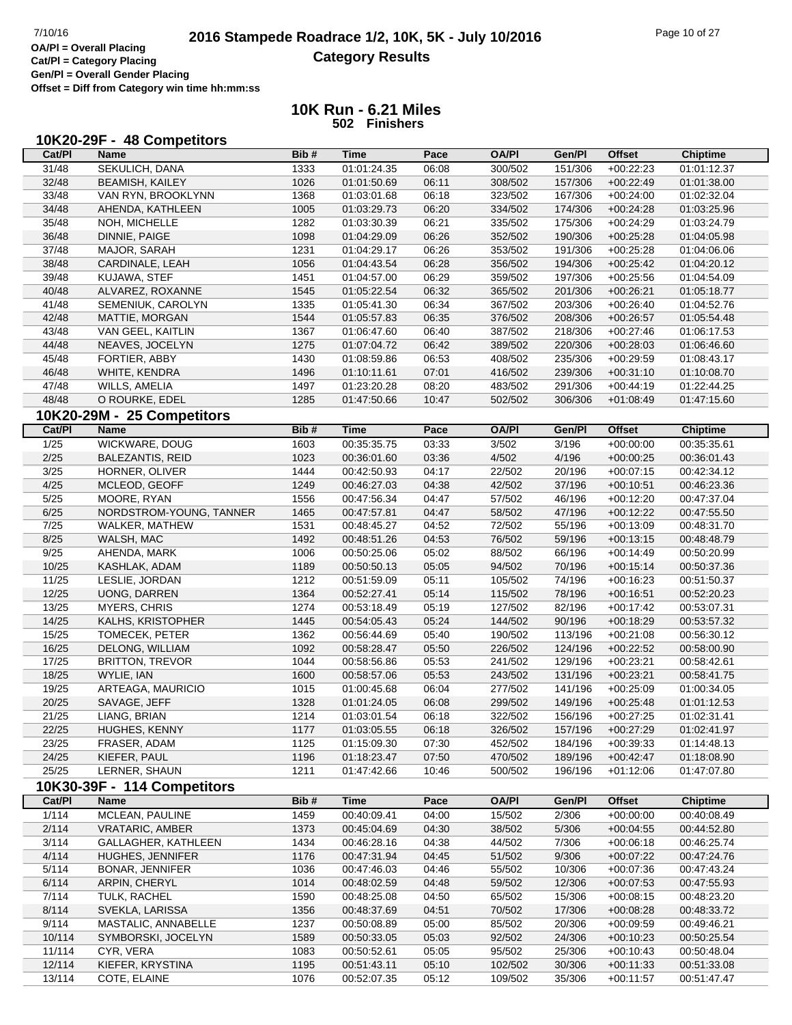# **2016 Stampede Roadrace 1/2, 10K, 5K - July 10/2016** Page 10 of 27<br> **OA/PI** = Overall Placing **2016 Stampede Roadrace 1/2, 10K, 5K - July 10/2016 Category Results**

**Cat/Pl = Category Placing Gen/Pl = Overall Gender Placing**

**Offset = Diff from Category win time hh:mm:ss**

| Cat/PI | Name                                      | Bib# | Time        | Pace  | <b>OA/PI</b> | Gen/PI  | <b>Offset</b> | <b>Chiptime</b> |
|--------|-------------------------------------------|------|-------------|-------|--------------|---------|---------------|-----------------|
| 31/48  | SEKULICH, DANA                            | 1333 | 01:01:24.35 | 06:08 | 300/502      | 151/306 | $+00:22:23$   | 01:01:12.37     |
| 32/48  | <b>BEAMISH, KAILEY</b>                    | 1026 | 01:01:50.69 | 06:11 | 308/502      | 157/306 | $+00:22:49$   | 01:01:38.00     |
| 33/48  | VAN RYN, BROOKLYNN                        | 1368 | 01:03:01.68 | 06:18 | 323/502      | 167/306 | $+00:24:00$   | 01:02:32.04     |
| 34/48  | AHENDA, KATHLEEN                          | 1005 | 01:03:29.73 | 06:20 | 334/502      | 174/306 | $+00:24:28$   | 01:03:25.96     |
| 35/48  | NOH, MICHELLE                             | 1282 | 01:03:30.39 | 06:21 | 335/502      | 175/306 | $+00:24:29$   | 01:03:24.79     |
| 36/48  | DINNIE, PAIGE                             | 1098 | 01:04:29.09 | 06:26 | 352/502      | 190/306 | $+00:25:28$   | 01:04:05.98     |
| 37/48  | MAJOR, SARAH                              | 1231 | 01:04:29.17 | 06:26 | 353/502      | 191/306 | $+00:25:28$   | 01:04:06.06     |
| 38/48  | CARDINALE, LEAH                           | 1056 | 01:04:43.54 | 06:28 | 356/502      | 194/306 | $+00:25:42$   | 01:04:20.12     |
| 39/48  | KUJAWA, STEF                              | 1451 | 01:04:57.00 | 06:29 | 359/502      | 197/306 | $+00:25:56$   | 01:04:54.09     |
| 40/48  | ALVAREZ, ROXANNE                          | 1545 | 01:05:22.54 | 06:32 | 365/502      | 201/306 | $+00:26:21$   | 01:05:18.77     |
| 41/48  | SEMENIUK, CAROLYN                         | 1335 | 01:05:41.30 | 06:34 | 367/502      | 203/306 | $+00:26:40$   | 01:04:52.76     |
| 42/48  | MATTIE, MORGAN                            | 1544 | 01:05:57.83 | 06:35 | 376/502      | 208/306 | $+00:26:57$   | 01:05:54.48     |
| 43/48  | VAN GEEL, KAITLIN                         | 1367 | 01:06:47.60 | 06:40 | 387/502      | 218/306 | $+00:27:46$   | 01:06:17.53     |
| 44/48  | NEAVES, JOCELYN                           | 1275 | 01:07:04.72 | 06:42 | 389/502      | 220/306 | $+00:28:03$   | 01:06:46.60     |
| 45/48  | FORTIER, ABBY                             | 1430 | 01:08:59.86 | 06:53 | 408/502      | 235/306 | $+00:29:59$   | 01:08:43.17     |
| 46/48  | WHITE, KENDRA                             | 1496 | 01:10:11.61 | 07:01 | 416/502      | 239/306 | $+00:31:10$   | 01:10:08.70     |
| 47/48  | WILLS, AMELIA                             | 1497 | 01:23:20.28 | 08:20 | 483/502      | 291/306 | $+00:44:19$   | 01:22:44.25     |
| 48/48  | O ROURKE, EDEL                            | 1285 | 01:47:50.66 | 10:47 | 502/502      | 306/306 | $+01:08:49$   | 01:47:15.60     |
|        |                                           |      |             |       |              |         |               |                 |
| Cat/PI | 10K20-29M - 25 Competitors<br><b>Name</b> |      |             |       | <b>OA/PI</b> | Gen/PI  | <b>Offset</b> |                 |
|        |                                           | Bib# | Time        | Pace  |              |         |               | <b>Chiptime</b> |
| 1/25   | WICKWARE, DOUG                            | 1603 | 00:35:35.75 | 03:33 | 3/502        | 3/196   | $+00:00:00$   | 00:35:35.61     |
| 2/25   | <b>BALEZANTIS, REID</b>                   | 1023 | 00:36:01.60 | 03:36 | 4/502        | 4/196   | $+00:00:25$   | 00:36:01.43     |
| 3/25   | HORNER, OLIVER                            | 1444 | 00:42:50.93 | 04:17 | 22/502       | 20/196  | $+00:07:15$   | 00:42:34.12     |
| 4/25   | MCLEOD, GEOFF                             | 1249 | 00:46:27.03 | 04:38 | 42/502       | 37/196  | $+00:10:51$   | 00:46:23.36     |
| 5/25   | MOORE, RYAN                               | 1556 | 00:47:56.34 | 04:47 | 57/502       | 46/196  | $+00:12:20$   | 00:47:37.04     |
| 6/25   | NORDSTROM-YOUNG, TANNER                   | 1465 | 00:47:57.81 | 04:47 | 58/502       | 47/196  | $+00:12:22$   | 00:47:55.50     |
| 7/25   | WALKER, MATHEW                            | 1531 | 00:48:45.27 | 04:52 | 72/502       | 55/196  | $+00:13:09$   | 00:48:31.70     |
| 8/25   | WALSH, MAC                                | 1492 | 00:48:51.26 | 04:53 | 76/502       | 59/196  | $+00:13:15$   | 00:48:48.79     |
| 9/25   | AHENDA, MARK                              | 1006 | 00:50:25.06 | 05:02 | 88/502       | 66/196  | $+00:14:49$   | 00:50:20.99     |
| 10/25  | KASHLAK, ADAM                             | 1189 | 00:50:50.13 | 05:05 | 94/502       | 70/196  | $+00:15:14$   | 00:50:37.36     |
| 11/25  | LESLIE, JORDAN                            | 1212 | 00:51:59.09 | 05:11 | 105/502      | 74/196  | $+00:16:23$   | 00:51:50.37     |
| 12/25  | UONG, DARREN                              | 1364 | 00:52:27.41 | 05:14 | 115/502      | 78/196  | $+00:16:51$   | 00:52:20.23     |
| 13/25  | <b>MYERS, CHRIS</b>                       | 1274 | 00:53:18.49 | 05:19 | 127/502      | 82/196  | $+00:17:42$   | 00:53:07.31     |
| 14/25  | KALHS, KRISTOPHER                         | 1445 | 00:54:05.43 | 05:24 | 144/502      | 90/196  | $+00:18:29$   | 00:53:57.32     |
| 15/25  | TOMECEK, PETER                            | 1362 | 00:56:44.69 | 05:40 | 190/502      | 113/196 | $+00:21:08$   | 00:56:30.12     |
| 16/25  | DELONG, WILLIAM                           | 1092 | 00:58:28.47 | 05:50 | 226/502      | 124/196 | $+00:22:52$   | 00:58:00.90     |
| 17/25  | <b>BRITTON, TREVOR</b>                    | 1044 | 00:58:56.86 | 05:53 | 241/502      | 129/196 | $+00:23:21$   | 00:58:42.61     |
| 18/25  | WYLIE, IAN                                | 1600 | 00:58:57.06 | 05:53 | 243/502      | 131/196 | $+00:23:21$   | 00:58:41.75     |
| 19/25  | ARTEAGA, MAURICIO                         | 1015 | 01:00:45.68 | 06:04 | 277/502      | 141/196 | $+00:25:09$   | 01:00:34.05     |
| 20/25  | SAVAGE, JEFF                              | 1328 | 01:01:24.05 | 06:08 | 299/502      | 149/196 | $+00:25:48$   | 01:01:12.53     |
| 21/25  | LIANG, BRIAN                              | 1214 | 01:03:01.54 | 06:18 | 322/502      | 156/196 | $+00:27:25$   | 01:02:31.41     |
| 22/25  | HUGHES, KENNY                             | 1177 | 01:03:05.55 | 06:18 | 326/502      | 157/196 | $+00:27:29$   | 01:02:41.97     |
| 23/25  | FRASER, ADAM                              | 1125 | 01:15:09.30 | 07:30 | 452/502      | 184/196 | $+00:39:33$   | 01:14:48.13     |
| 24/25  | KIEFER, PAUL                              | 1196 | 01:18:23.47 | 07:50 | 470/502      | 189/196 | $+00:42:47$   | 01:18:08.90     |
| 25/25  | LERNER, SHAUN                             | 1211 | 01:47:42.66 | 10:46 | 500/502      | 196/196 | $+01:12:06$   | 01:47:07.80     |
|        | 10K30-39F - 114 Competitors               |      |             |       |              |         |               |                 |
| Cat/PI | <b>Name</b>                               | Bib# | <b>Time</b> | Pace  | <b>OA/PI</b> | Gen/Pl  | <b>Offset</b> | <b>Chiptime</b> |
| 1/114  | MCLEAN, PAULINE                           | 1459 | 00:40:09.41 | 04:00 | 15/502       | 2/306   | $+00:00:00$   | 00:40:08.49     |
| 2/114  | <b>VRATARIC, AMBER</b>                    | 1373 | 00:45:04.69 | 04:30 | 38/502       | 5/306   | $+00:04:55$   | 00:44:52.80     |
| 3/114  | GALLAGHER, KATHLEEN                       | 1434 | 00:46:28.16 | 04:38 | 44/502       | 7/306   | $+00:06:18$   | 00:46:25.74     |
| 4/114  | HUGHES, JENNIFER                          | 1176 | 00:47:31.94 | 04:45 | 51/502       | 9/306   | $+00:07:22$   | 00:47:24.76     |
| 5/114  | BONAR, JENNIFER                           | 1036 | 00:47:46.03 | 04:46 | 55/502       | 10/306  | $+00:07:36$   | 00:47:43.24     |
| 6/114  | ARPIN, CHERYL                             | 1014 | 00:48:02.59 | 04:48 | 59/502       | 12/306  | $+00:07:53$   | 00:47:55.93     |
| 7/114  | TULK, RACHEL                              | 1590 | 00:48:25.08 | 04:50 | 65/502       | 15/306  | $+00:08:15$   | 00:48:23.20     |
| 8/114  | SVEKLA, LARISSA                           | 1356 | 00:48:37.69 | 04:51 | 70/502       | 17/306  | $+00:08:28$   | 00:48:33.72     |
| 9/114  | MASTALIC, ANNABELLE                       | 1237 | 00:50:08.89 | 05:00 | 85/502       | 20/306  | $+00:09:59$   | 00:49:46.21     |
| 10/114 | SYMBORSKI, JOCELYN                        | 1589 | 00:50:33.05 | 05:03 | 92/502       | 24/306  | $+00:10:23$   | 00:50:25.54     |
| 11/114 | CYR, VERA                                 | 1083 | 00:50:52.61 | 05:05 | 95/502       | 25/306  | $+00:10:43$   | 00:50:48.04     |
| 12/114 | KIEFER, KRYSTINA                          | 1195 | 00:51:43.11 | 05:10 | 102/502      | 30/306  | $+00:11:33$   | 00:51:33.08     |
| 13/114 | COTE, ELAINE                              | 1076 | 00:52:07.35 | 05:12 | 109/502      | 35/306  | $+00:11:57$   | 00:51:47.47     |
|        |                                           |      |             |       |              |         |               |                 |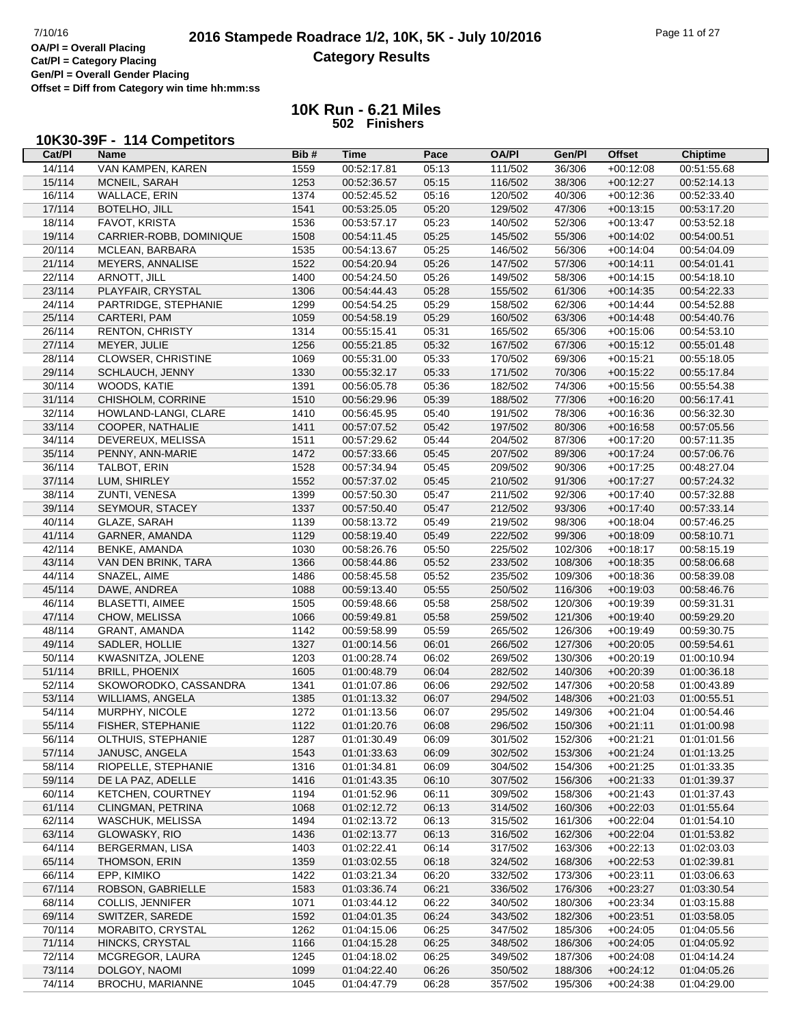# **2016 Stampede Roadrace 1/2, 10K, 5K - July 10/2016** Page 11 of 27<br> **OA/PI** = Overall Placing **2016 Stampede Roadrace 1/2, 10K, 5K - July 10/2016 Category Results**

**Cat/Pl = Category Placing Gen/Pl = Overall Gender Placing**

**Offset = Diff from Category win time hh:mm:ss**

**10K Run - 6.21 Miles 502 Finishers**

#### **10K30-39F - 114 Competitors**

| Cat/PI | Name                    | Bib#         | <b>Time</b>                | Pace  | <b>OA/PI</b> | Gen/Pl  | <b>Offset</b>              | <b>Chiptime</b>            |
|--------|-------------------------|--------------|----------------------------|-------|--------------|---------|----------------------------|----------------------------|
| 14/114 | VAN KAMPEN, KAREN       | 1559         | 00:52:17.81                | 05:13 | 111/502      | 36/306  | $+00:12:08$                | 00:51:55.68                |
| 15/114 | MCNEIL, SARAH           | 1253         | 00:52:36.57                | 05:15 | 116/502      | 38/306  | $+00:12:27$                | 00:52:14.13                |
| 16/114 | WALLACE, ERIN           | 1374         | 00:52:45.52                | 05:16 | 120/502      | 40/306  | $+00:12:36$                | 00:52:33.40                |
| 17/114 | BOTELHO, JILL           | 1541         | 00:53:25.05                | 05:20 | 129/502      | 47/306  | $+00:13:15$                | 00:53:17.20                |
| 18/114 | FAVOT, KRISTA           | 1536         | 00:53:57.17                | 05:23 | 140/502      | 52/306  | $+00:13:47$                | 00:53:52.18                |
| 19/114 | CARRIER-ROBB, DOMINIQUE | 1508         | 00:54:11.45                | 05:25 | 145/502      | 55/306  | $+00:14:02$                | 00:54:00.51                |
| 20/114 | MCLEAN, BARBARA         | 1535         | 00:54:13.67                | 05:25 | 146/502      | 56/306  | $+00:14:04$                | 00:54:04.09                |
| 21/114 | MEYERS, ANNALISE        | 1522         | 00:54:20.94                | 05:26 | 147/502      | 57/306  | $+00:14:11$                | 00:54:01.41                |
| 22/114 | ARNOTT, JILL            | 1400         | 00:54:24.50                | 05:26 | 149/502      | 58/306  | $+00:14:15$                | 00:54:18.10                |
| 23/114 | PLAYFAIR, CRYSTAL       | 1306         | 00:54:44.43                | 05:28 | 155/502      | 61/306  | $+00:14:35$                | 00:54:22.33                |
| 24/114 | PARTRIDGE, STEPHANIE    | 1299         | 00:54:54.25                | 05:29 | 158/502      | 62/306  | $+00.14.44$                | 00:54:52.88                |
| 25/114 | CARTERI, PAM            | 1059         | 00:54:58.19                | 05:29 | 160/502      | 63/306  | $+00:14:48$                | 00:54:40.76                |
| 26/114 | <b>RENTON, CHRISTY</b>  | 1314         | 00:55:15.41                | 05:31 | 165/502      | 65/306  | $+00:15:06$                | 00:54:53.10                |
| 27/114 | MEYER, JULIE            | 1256         | 00:55:21.85                | 05:32 | 167/502      | 67/306  | $+00:15:12$                | 00:55:01.48                |
| 28/114 | CLOWSER, CHRISTINE      | 1069         | 00:55:31.00                | 05:33 | 170/502      | 69/306  | $+00:15:21$                | 00:55:18.05                |
| 29/114 | SCHLAUCH, JENNY         | 1330         | 00:55:32.17                | 05:33 | 171/502      | 70/306  | $+00:15:22$                | 00:55:17.84                |
| 30/114 | WOODS, KATIE            | 1391         | 00:56:05.78                | 05:36 | 182/502      | 74/306  | $+00:15:56$                | 00:55:54.38                |
| 31/114 | CHISHOLM, CORRINE       | 1510         | 00:56:29.96                | 05:39 | 188/502      | 77/306  | $+00:16:20$                | 00:56:17.41                |
| 32/114 | HOWLAND-LANGI, CLARE    | 1410         | 00:56:45.95                | 05:40 | 191/502      | 78/306  | $+00:16:36$                | 00:56:32.30                |
| 33/114 | COOPER, NATHALIE        | 1411         | 00:57:07.52                | 05:42 | 197/502      | 80/306  | $+00:16:58$                | 00:57:05.56                |
| 34/114 | DEVEREUX, MELISSA       | 1511         | 00:57:29.62                | 05:44 | 204/502      | 87/306  | $+00:17:20$                | 00:57:11.35                |
| 35/114 | PENNY, ANN-MARIE        | 1472         | 00:57:33.66                | 05:45 | 207/502      | 89/306  | $+00:17:24$                | 00:57:06.76                |
| 36/114 | TALBOT, ERIN            | 1528         | 00:57:34.94                | 05:45 | 209/502      | 90/306  | $+00:17:25$                | 00:48:27.04                |
| 37/114 | LUM, SHIRLEY            | 1552         | 00:57:37.02                | 05:45 | 210/502      | 91/306  | $+00:17:27$                | 00:57:24.32                |
| 38/114 | ZUNTI, VENESA           | 1399         | 00:57:50.30                | 05:47 | 211/502      | 92/306  | $+00:17:40$                | 00:57:32.88                |
| 39/114 | SEYMOUR, STACEY         | 1337         | 00:57:50.40                | 05:47 | 212/502      | 93/306  | $+00:17:40$                | 00:57:33.14                |
| 40/114 | GLAZE, SARAH            | 1139         | 00:58:13.72                | 05:49 | 219/502      | 98/306  | $+00:18:04$                | 00:57:46.25                |
| 41/114 | GARNER, AMANDA          | 1129         | 00:58:19.40                | 05:49 | 222/502      | 99/306  | $+00:18:09$                | 00:58:10.71                |
| 42/114 | <b>BENKE, AMANDA</b>    | 1030         | 00:58:26.76                | 05:50 | 225/502      | 102/306 | $+00:18:17$                | 00:58:15.19                |
| 43/114 | VAN DEN BRINK, TARA     | 1366         | 00:58:44.86                | 05:52 | 233/502      | 108/306 | $+00:18:35$                | 00:58:06.68                |
| 44/114 | SNAZEL, AIME            | 1486         | 00:58:45.58                | 05:52 | 235/502      | 109/306 | $+00:18:36$                | 00:58:39.08                |
| 45/114 | DAWE, ANDREA            | 1088         | 00:59:13.40                | 05:55 | 250/502      | 116/306 | $+00:19:03$                | 00:58:46.76                |
| 46/114 | <b>BLASETTI, AIMEE</b>  | 1505         | 00:59:48.66                | 05:58 | 258/502      | 120/306 | $+00:19:39$                | 00:59:31.31                |
| 47/114 | CHOW, MELISSA           | 1066         | 00:59:49.81                | 05:58 | 259/502      | 121/306 | $+00:19:40$                | 00:59:29.20                |
| 48/114 | <b>GRANT, AMANDA</b>    | 1142         | 00:59:58.99                | 05:59 | 265/502      | 126/306 | $+00:19:49$                | 00:59:30.75                |
| 49/114 | SADLER, HOLLIE          | 1327         | 01:00:14.56                | 06:01 | 266/502      | 127/306 | $+00:20:05$                | 00:59:54.61                |
| 50/114 | KWASNITZA, JOLENE       | 1203         | 01:00:28.74                | 06:02 | 269/502      | 130/306 | $+00:20:19$                | 01:00:10.94                |
| 51/114 | <b>BRILL, PHOENIX</b>   | 1605         | 01:00:48.79                | 06:04 | 282/502      | 140/306 | $+00:20:39$                | 01:00:36.18                |
| 52/114 | SKOWORODKO, CASSANDRA   | 1341         | 01:01:07.86                | 06:06 | 292/502      | 147/306 | $+00:20:58$                | 01:00:43.89                |
| 53/114 | WILLIAMS, ANGELA        | 1385         | 01:01:13.32                | 06:07 | 294/502      | 148/306 | $+00:21:03$                | 01:00:55.51                |
| 54/114 | MURPHY, NICOLE          | 1272         | 01:01:13.56                | 06:07 | 295/502      | 149/306 | $+00:21:04$                | 01:00:54.46                |
| 55/114 | FISHER, STEPHANIE       | 1122         | 01:01:20.76                | 06:08 | 296/502      | 150/306 | $+00:21:11$                | 01:01:00.98                |
| 56/114 | OLTHUIS, STEPHANIE      | 1287         | 01:01:30.49                | 06:09 | 301/502      | 152/306 | $+00:21:21$                | 01:01:01.56                |
| 57/114 | JANUSC, ANGELA          | 1543         | 01:01:33.63                | 06:09 | 302/502      | 153/306 | $+00:21:24$                | 01:01:13.25                |
| 58/114 | RIOPELLE, STEPHANIE     | 1316         | 01:01:34.81                | 06:09 | 304/502      | 154/306 | $+00:21:25$                | 01:01:33.35                |
| 59/114 | DE LA PAZ, ADELLE       | 1416         | 01:01:43.35                | 06:10 | 307/502      | 156/306 | $+00:21:33$                | 01:01:39.37                |
| 60/114 | KETCHEN, COURTNEY       | 1194         | 01:01:52.96                | 06:11 | 309/502      | 158/306 | $+00:21:43$                | 01:01:37.43                |
| 61/114 | CLINGMAN, PETRINA       | 1068         | 01:02:12.72                | 06:13 | 314/502      | 160/306 | $+00:22:03$                | 01:01:55.64                |
| 62/114 | WASCHUK, MELISSA        | 1494         | 01:02:13.72                | 06:13 | 315/502      | 161/306 | $+00:22:04$                | 01:01:54.10                |
| 63/114 | GLOWASKY, RIO           | 1436         | 01:02:13.77                | 06:13 | 316/502      | 162/306 | $+00:22:04$                | 01:01:53.82                |
| 64/114 | <b>BERGERMAN, LISA</b>  | 1403         | 01:02:22.41                | 06:14 | 317/502      | 163/306 | $+00:22:13$                | 01:02:03.03                |
| 65/114 | THOMSON, ERIN           | 1359         | 01:03:02.55                | 06:18 | 324/502      | 168/306 | $+00:22:53$                | 01:02:39.81                |
| 66/114 | EPP, KIMIKO             | 1422         | 01:03:21.34                | 06:20 | 332/502      | 173/306 | $+00:23:11$                | 01:03:06.63                |
| 67/114 | ROBSON, GABRIELLE       | 1583         | 01:03:36.74                | 06:21 | 336/502      | 176/306 | $+00:23:27$                | 01:03:30.54                |
| 68/114 | <b>COLLIS, JENNIFER</b> |              | 01:03:44.12                | 06:22 | 340/502      | 180/306 |                            | 01:03:15.88                |
| 69/114 | SWITZER, SAREDE         | 1071<br>1592 |                            | 06:24 | 343/502      | 182/306 | $+00:23:34$                | 01:03:58.05                |
| 70/114 | MORABITO, CRYSTAL       | 1262         | 01:04:01.35                | 06:25 | 347/502      | 185/306 | $+00:23:51$<br>$+00:24:05$ |                            |
| 71/114 | HINCKS, CRYSTAL         | 1166         | 01:04:15.06<br>01:04:15.28 | 06:25 | 348/502      | 186/306 | $+00:24:05$                | 01:04:05.56<br>01:04:05.92 |
| 72/114 | MCGREGOR, LAURA         | 1245         | 01:04:18.02                | 06:25 | 349/502      | 187/306 | $+00:24:08$                | 01:04:14.24                |
| 73/114 | DOLGOY, NAOMI           | 1099         | 01:04:22.40                | 06:26 | 350/502      | 188/306 | $+00:24:12$                | 01:04:05.26                |
| 74/114 | BROCHU, MARIANNE        | 1045         | 01:04:47.79                | 06:28 | 357/502      | 195/306 | $+00:24:38$                | 01:04:29.00                |
|        |                         |              |                            |       |              |         |                            |                            |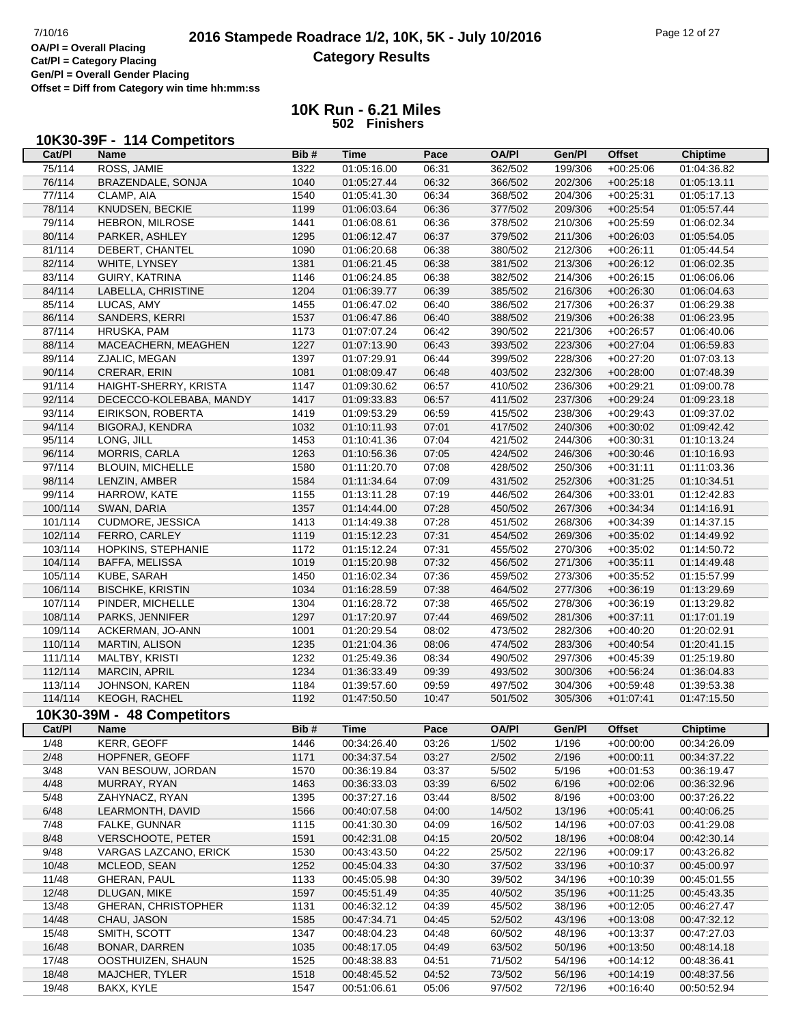# **2016 Stampede Roadrace 1/2, 10K, 5K - July 10/2016** Page 12 of 27<br> **OA/PI** = Overall Placing **2016 Stampede Roadrace 1/2, 10K, 5K - July 10/2016 Category Results**

**Cat/Pl = Category Placing Gen/Pl = Overall Gender Placing**

**Offset = Diff from Category win time hh:mm:ss**

|            |      |  | 10K30-39F - 114 Competitors |
|------------|------|--|-----------------------------|
| $C_{2}+D1$ | Namo |  |                             |

| Cat/PI                | <b>Name</b>                | Bib# | <b>Time</b>         | Pace          | <b>OA/PI</b>          | Gen/Pl          | <b>Offset</b>              | <b>Chiptime</b> |
|-----------------------|----------------------------|------|---------------------|---------------|-----------------------|-----------------|----------------------------|-----------------|
| 75/114                | ROSS, JAMIE                | 1322 | 01:05:16.00         | 06:31         | 362/502               | 199/306         | $+00:25:06$                | 01:04:36.82     |
| 76/114                | BRAZENDALE, SONJA          | 1040 | 01:05:27.44         | 06:32         | 366/502               | 202/306         | $+00:25:18$                | 01:05:13.11     |
| 77/114                | CLAMP, AIA                 | 1540 | 01:05:41.30         | 06:34         | 368/502               | 204/306         | $+00:25:31$                | 01:05:17.13     |
| 78/114                | KNUDSEN, BECKIE            | 1199 | 01:06:03.64         | 06:36         | 377/502               | 209/306         | $+00:25:54$                | 01:05:57.44     |
| 79/114                | HEBRON, MILROSE            | 1441 | 01:06:08.61         | 06:36         | 378/502               | 210/306         | $+00:25:59$                | 01:06:02.34     |
| 80/114                | PARKER, ASHLEY             | 1295 | 01:06:12.47         | 06:37         | 379/502               | 211/306         | $+00:26:03$                | 01:05:54.05     |
| 81/114                | DEBERT, CHANTEL            | 1090 | 01:06:20.68         | 06:38         | 380/502               | 212/306         | $+00:26:11$                | 01:05:44.54     |
| 82/114                | WHITE, LYNSEY              | 1381 | 01:06:21.45         | 06:38         | 381/502               | 213/306         | $+00:26:12$                | 01:06:02.35     |
| 83/114                | GUIRY, KATRINA             | 1146 | 01:06:24.85         | 06:38         | 382/502               | 214/306         | $+00:26:15$                | 01:06:06.06     |
| 84/114                | LABELLA, CHRISTINE         | 1204 | 01:06:39.77         | 06:39         | 385/502               | 216/306         | $+00:26:30$                | 01:06:04.63     |
| 85/114                | LUCAS, AMY                 | 1455 | 01:06:47.02         | 06:40         | 386/502               | 217/306         | $+00:26:37$                | 01:06:29.38     |
| 86/114                | SANDERS, KERRI             | 1537 | 01:06:47.86         | 06:40         | 388/502               | 219/306         | $+00:26:38$                | 01:06:23.95     |
| 87/114                | HRUSKA, PAM                | 1173 | 01:07:07.24         | 06:42         | 390/502               | 221/306         | $+00:26:57$                | 01:06:40.06     |
| 88/114                | MACEACHERN, MEAGHEN        | 1227 | 01:07:13.90         | 06:43         | 393/502               | 223/306         | $+00:27:04$                | 01:06:59.83     |
| 89/114                | ZJALIC, MEGAN              | 1397 | 01:07:29.91         | 06:44         | 399/502               | 228/306         | $+00:27:20$                | 01:07:03.13     |
| 90/114                | CRERAR, ERIN               | 1081 | 01:08:09.47         | 06:48         | 403/502               | 232/306         | $+00:28:00$                | 01:07:48.39     |
| 91/114                | HAIGHT-SHERRY, KRISTA      | 1147 | 01:09:30.62         | 06:57         | 410/502               | 236/306         | $+00:29:21$                | 01:09:00.78     |
| 92/114                | DECECCO-KOLEBABA, MANDY    | 1417 | 01:09:33.83         | 06:57         | 411/502               | 237/306         | $+00:29:24$                | 01:09:23.18     |
| 93/114                | EIRIKSON, ROBERTA          | 1419 | 01:09:53.29         | 06:59         | 415/502               | 238/306         | $+00:29:43$                | 01:09:37.02     |
| 94/114                | <b>BIGORAJ, KENDRA</b>     | 1032 | 01:10:11.93         | 07:01         | 417/502               | 240/306         | $+00:30:02$                | 01:09:42.42     |
| 95/114                | LONG, JILL                 | 1453 | 01:10:41.36         | 07:04         | 421/502               | 244/306         | $+00:30:31$                | 01:10:13.24     |
| 96/114                | MORRIS, CARLA              | 1263 | 01:10:56.36         | 07:05         | 424/502               | 246/306         | $+00:30:46$                | 01:10:16.93     |
| 97/114                | <b>BLOUIN, MICHELLE</b>    | 1580 | 01:11:20.70         | 07:08         | 428/502               | 250/306         | $+00:31:11$                | 01:11:03.36     |
| 98/114                | LENZIN, AMBER              | 1584 | 01:11:34.64         | 07:09         | 431/502               | 252/306         | $+00:31:25$                | 01:10:34.51     |
| 99/114                | HARROW, KATE               | 1155 | 01:13:11.28         | 07:19         | 446/502               | 264/306         | $+00:33:01$                | 01:12:42.83     |
| 100/114               | SWAN, DARIA                | 1357 | 01:14:44.00         | 07:28         | 450/502               | 267/306         | $+00:34:34$                | 01:14:16.91     |
| 101/114               | CUDMORE, JESSICA           | 1413 | 01:14:49.38         | 07:28         | 451/502               | 268/306         | $+00:34:39$                | 01:14:37.15     |
| 102/114               | FERRO, CARLEY              | 1119 | 01:15:12.23         | 07:31         | 454/502               | 269/306         | $+00:35:02$                | 01:14:49.92     |
| 103/114               | HOPKINS, STEPHANIE         | 1172 | 01:15:12.24         | 07:31         | 455/502               | 270/306         | $+00:35:02$                | 01:14:50.72     |
| 104/114               | <b>BAFFA, MELISSA</b>      | 1019 | 01:15:20.98         | 07:32         | 456/502               | 271/306         | $+00:35:11$                | 01:14:49.48     |
| 105/114               | KUBE, SARAH                | 1450 | 01:16:02.34         | 07:36         | 459/502               | 273/306         | $+00:35:52$                | 01:15:57.99     |
| 106/114               | <b>BISCHKE, KRISTIN</b>    | 1034 | 01:16:28.59         | 07:38         | 464/502               | 277/306         | $+00:36:19$                | 01:13:29.69     |
| 107/114               | PINDER, MICHELLE           | 1304 | 01:16:28.72         | 07:38         | 465/502               | 278/306         | $+00:36:19$                | 01:13:29.82     |
| 108/114               | PARKS, JENNIFER            | 1297 | 01:17:20.97         | 07:44         | 469/502               | 281/306         | $+00:37:11$                | 01:17:01.19     |
| 109/114               | ACKERMAN, JO-ANN           | 1001 | 01:20:29.54         | 08:02         | 473/502               | 282/306         | $+00:40:20$                | 01:20:02.91     |
| 110/114               | <b>MARTIN, ALISON</b>      | 1235 | 01:21:04.36         | 08:06         | 474/502               | 283/306         | $+00:40:54$                | 01:20:41.15     |
| 111/114               | MALTBY, KRISTI             | 1232 | 01:25:49.36         | 08:34         | 490/502               | 297/306         | $+00:45:39$                | 01:25:19.80     |
| 112/114               | MARCIN, APRIL              | 1234 | 01:36:33.49         | 09:39         | 493/502               | 300/306         | $+00:56:24$                | 01:36:04.83     |
| 113/114               | JOHNSON, KAREN             | 1184 | 01:39:57.60         | 09:59         | 497/502               | 304/306         | $+00:59:48$                | 01:39:53.38     |
| 114/114               | KEOGH, RACHEL              | 1192 | 01:47:50.50         | 10:47         | 501/502               | 305/306         | $+01:07:41$                | 01:47:15.50     |
|                       | 10K30-39M - 48 Competitors |      |                     |               |                       |                 |                            |                 |
|                       |                            | Bib# |                     |               |                       |                 |                            | <b>Chiptime</b> |
| <b>Cat/PI</b><br>1/48 | <b>Name</b><br>KERR, GEOFF | 1446 | Time<br>00:34:26.40 | Pace<br>03:26 | <b>OA/PI</b><br>1/502 | Gen/Pl<br>1/196 | Offset<br>$+00:00:00$      | 00:34:26.09     |
| 2/48                  | HOPFNER, GEOFF             | 1171 | 00:34:37.54         | 03:27         | 2/502                 | 2/196           | $+00:00:11$                | 00:34:37.22     |
| 3/48                  | VAN BESOUW, JORDAN         | 1570 | 00:36:19.84         | 03:37         | 5/502                 | 5/196           | $+00:01:53$                | 00:36:19.47     |
| 4/48                  | MURRAY, RYAN               | 1463 | 00:36:33.03         | 03:39         | 6/502                 | 6/196           | $+00:02:06$                | 00:36:32.96     |
| 5/48                  | ZAHYNACZ, RYAN             | 1395 | 00:37:27.16         | 03:44         | 8/502                 | 8/196           | $+00:03:00$                | 00:37:26.22     |
| 6/48                  | LEARMONTH, DAVID           | 1566 | 00:40:07.58         | 04:00         | 14/502                | 13/196          | $+00:05:41$                | 00:40:06.25     |
| 7/48                  | FALKE, GUNNAR              | 1115 | 00:41:30.30         | 04:09         | 16/502                | 14/196          | $+00:07:03$                | 00:41:29.08     |
| 8/48                  | <b>VERSCHOOTE, PETER</b>   | 1591 | 00:42:31.08         | 04:15         | 20/502                | 18/196          | $+00:08:04$                | 00:42:30.14     |
| 9/48                  | VARGAS LAZCANO, ERICK      | 1530 | 00:43:43.50         | 04:22         | 25/502                | 22/196          | $+00:09:17$                | 00:43:26.82     |
| 10/48                 | MCLEOD, SEAN               | 1252 | 00:45:04.33         | 04:30         | 37/502                | 33/196          | $+00:10:37$                | 00:45:00.97     |
| 11/48                 | GHERAN, PAUL               | 1133 | 00:45:05.98         | 04:30         | 39/502                | 34/196          | $+00:10:39$                | 00:45:01.55     |
| 12/48                 | DLUGAN, MIKE               | 1597 | 00:45:51.49         | 04:35         | 40/502                | 35/196          | $+00:11:25$                | 00:45:43.35     |
| 13/48                 | <b>GHERAN, CHRISTOPHER</b> | 1131 | 00:46:32.12         | 04:39         | 45/502                | 38/196          | $+00:12:05$                | 00:46:27.47     |
| 14/48                 | CHAU, JASON                | 1585 | 00:47:34.71         | 04:45         | 52/502                | 43/196          | $+00:13:08$                | 00:47:32.12     |
| 15/48                 | SMITH, SCOTT               | 1347 | 00:48:04.23         | 04:48         | 60/502                | 48/196          | $+00:13:37$                | 00:47:27.03     |
| 16/48                 | BONAR, DARREN              | 1035 | 00:48:17.05         | 04:49         | 63/502                | 50/196          | $+00:13:50$                | 00:48:14.18     |
| 17/48                 | OOSTHUIZEN, SHAUN          | 1525 | 00:48:38.83         | 04:51         | 71/502                | 54/196          |                            | 00:48:36.41     |
| 18/48                 | MAJCHER, TYLER             | 1518 | 00:48:45.52         | 04:52         | 73/502                | 56/196          | $+00:14:12$<br>$+00:14:19$ | 00:48:37.56     |
|                       |                            |      |                     |               |                       |                 |                            |                 |
| 19/48                 | BAKX, KYLE                 | 1547 | 00:51:06.61         | 05:06         | 97/502                | 72/196          | $+00:16:40$                | 00:50:52.94     |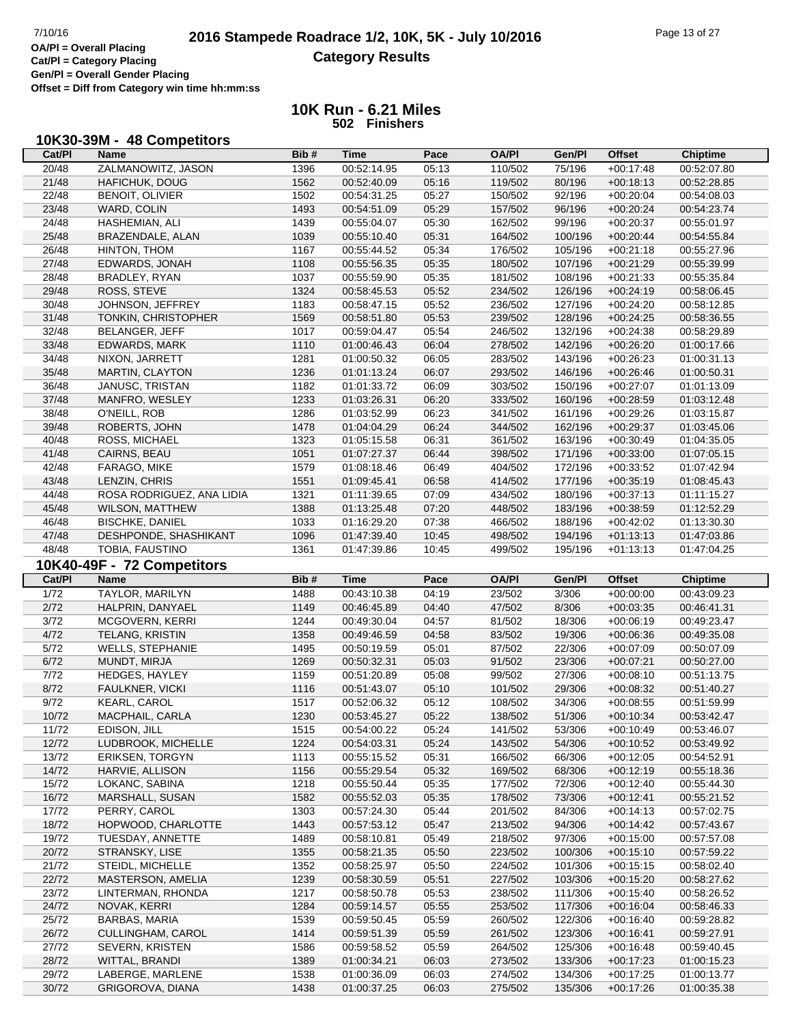**Cat/Pl = Category Placing Gen/Pl = Overall Gender Placing**

**Offset = Diff from Category win time hh:mm:ss**

| 10K30-39M - 48 Competitors |
|----------------------------|
|----------------------------|

| Cat/PI         | Name                       | Bib# | Time        | Pace  | <b>OA/PI</b> | Gen/Pl  | <b>Offset</b> | <b>Chiptime</b> |
|----------------|----------------------------|------|-------------|-------|--------------|---------|---------------|-----------------|
| 20/48          | ZALMANOWITZ, JASON         | 1396 | 00:52:14.95 | 05:13 | 110/502      | 75/196  | $+00:17:48$   | 00:52:07.80     |
| 21/48          | HAFICHUK, DOUG             | 1562 | 00:52:40.09 | 05:16 | 119/502      | 80/196  | $+00:18:13$   | 00:52:28.85     |
| 22/48          | <b>BENOIT, OLIVIER</b>     | 1502 | 00:54:31.25 | 05:27 | 150/502      | 92/196  | $+00:20:04$   | 00:54:08.03     |
|                |                            |      |             |       |              |         |               |                 |
| 23/48          | WARD, COLIN                | 1493 | 00:54:51.09 | 05:29 | 157/502      | 96/196  | $+00:20:24$   | 00:54:23.74     |
| 24/48          | HASHEMIAN, ALI             | 1439 | 00:55:04.07 | 05:30 | 162/502      | 99/196  | $+00:20:37$   | 00:55:01.97     |
| 25/48          | BRAZENDALE, ALAN           | 1039 | 00:55:10.40 | 05:31 | 164/502      | 100/196 | $+00:20:44$   | 00:54:55.84     |
| 26/48          | HINTON, THOM               | 1167 | 00:55:44.52 | 05:34 | 176/502      | 105/196 | $+00:21:18$   | 00:55:27.96     |
| 27/48          | EDWARDS, JONAH             | 1108 | 00:55:56.35 | 05:35 | 180/502      | 107/196 | $+00:21:29$   | 00:55:39.99     |
| 28/48          | BRADLEY, RYAN              | 1037 | 00:55:59.90 | 05:35 | 181/502      | 108/196 | $+00:21:33$   | 00:55:35.84     |
| 29/48          |                            | 1324 |             |       |              |         |               |                 |
|                | ROSS, STEVE                |      | 00:58:45.53 | 05:52 | 234/502      | 126/196 | $+00:24:19$   | 00:58:06.45     |
| 30/48          | JOHNSON, JEFFREY           | 1183 | 00:58:47.15 | 05:52 | 236/502      | 127/196 | $+00:24:20$   | 00:58:12.85     |
| 31/48          | TONKIN, CHRISTOPHER        | 1569 | 00:58:51.80 | 05:53 | 239/502      | 128/196 | $+00:24:25$   | 00:58:36.55     |
| 32/48          | BELANGER, JEFF             | 1017 | 00:59:04.47 | 05:54 | 246/502      | 132/196 | $+00:24:38$   | 00:58:29.89     |
| 33/48          | EDWARDS, MARK              | 1110 | 01:00:46.43 | 06:04 | 278/502      | 142/196 | $+00:26:20$   | 01:00:17.66     |
| 34/48          | NIXON, JARRETT             | 1281 | 01:00:50.32 | 06:05 | 283/502      | 143/196 | $+00:26:23$   | 01:00:31.13     |
| 35/48          | <b>MARTIN, CLAYTON</b>     | 1236 | 01:01:13.24 | 06:07 | 293/502      | 146/196 | $+00:26:46$   | 01:00:50.31     |
| 36/48          | JANUSC, TRISTAN            | 1182 | 01:01:33.72 | 06:09 | 303/502      | 150/196 | $+00:27:07$   | 01:01:13.09     |
| 37/48          | MANFRO, WESLEY             | 1233 | 01:03:26.31 | 06:20 | 333/502      | 160/196 | $+00:28:59$   | 01:03:12.48     |
|                |                            |      |             |       |              |         |               |                 |
| 38/48          | O'NEILL, ROB               | 1286 | 01:03:52.99 | 06:23 | 341/502      | 161/196 | $+00:29:26$   | 01:03:15.87     |
| 39/48          | ROBERTS, JOHN              | 1478 | 01:04:04.29 | 06:24 | 344/502      | 162/196 | $+00:29:37$   | 01:03:45.06     |
| 40/48          | ROSS, MICHAEL              | 1323 | 01:05:15.58 | 06:31 | 361/502      | 163/196 | $+00:30:49$   | 01:04:35.05     |
| 41/48          | CAIRNS, BEAU               | 1051 | 01:07:27.37 | 06:44 | 398/502      | 171/196 | $+00:33:00$   | 01:07:05.15     |
| 42/48          | FARAGO, MIKE               | 1579 | 01:08:18.46 | 06:49 | 404/502      | 172/196 | $+00:33:52$   | 01:07:42.94     |
| 43/48          | LENZIN, CHRIS              | 1551 | 01:09:45.41 | 06:58 | 414/502      | 177/196 | $+00:35:19$   | 01:08:45.43     |
| 44/48          | ROSA RODRIGUEZ, ANA LIDIA  | 1321 | 01:11:39.65 | 07:09 | 434/502      | 180/196 | $+00:37:13$   | 01:11:15.27     |
| 45/48          | <b>WILSON, MATTHEW</b>     | 1388 | 01:13:25.48 | 07:20 | 448/502      | 183/196 | $+00:38:59$   | 01:12:52.29     |
|                |                            |      |             |       |              |         |               |                 |
| 46/48          | <b>BISCHKE, DANIEL</b>     | 1033 | 01:16:29.20 | 07:38 | 466/502      | 188/196 | $+00:42:02$   | 01:13:30.30     |
| 47/48          | DESHPONDE, SHASHIKANT      | 1096 | 01:47:39.40 | 10:45 | 498/502      | 194/196 | $+01:13:13$   | 01:47:03.86     |
| 48/48          | TOBIA, FAUSTINO            | 1361 | 01:47:39.86 | 10:45 | 499/502      | 195/196 | $+01:13:13$   | 01:47:04.25     |
|                | 10K40-49F - 72 Competitors |      |             |       |              |         |               |                 |
|                |                            |      |             |       |              |         |               |                 |
|                |                            |      |             |       |              |         |               |                 |
| Cat/PI         | Name                       | Bib# | <b>Time</b> | Pace  | <b>OA/PI</b> | Gen/Pl  | <b>Offset</b> | <b>Chiptime</b> |
| $\frac{1}{72}$ | TAYLOR, MARILYN            | 1488 | 00:43:10.38 | 04:19 | 23/502       | 3/306   | $+00:00:00$   | 00:43:09.23     |
| 2/72           | HALPRIN, DANYAEL           | 1149 | 00:46:45.89 | 04:40 | 47/502       | 8/306   | $+00:03:35$   | 00:46:41.31     |
| 3/72           | MCGOVERN, KERRI            | 1244 | 00:49:30.04 | 04:57 | 81/502       | 18/306  | $+00:06:19$   | 00:49:23.47     |
| 4/72           | TELANG, KRISTIN            | 1358 | 00:49:46.59 | 04:58 | 83/502       | 19/306  | $+00:06:36$   | 00:49:35.08     |
| 5/72           | <b>WELLS, STEPHANIE</b>    | 1495 | 00:50:19.59 | 05:01 | 87/502       | 22/306  | $+00:07:09$   | 00:50:07.09     |
|                | MUNDT, MIRJA               |      |             |       |              |         |               |                 |
| 6/72           |                            | 1269 | 00:50:32.31 | 05:03 | 91/502       | 23/306  | $+00:07:21$   | 00:50:27.00     |
| 7/72           | <b>HEDGES, HAYLEY</b>      | 1159 | 00:51:20.89 | 05:08 | 99/502       | 27/306  | $+00:08:10$   | 00:51:13.75     |
| 8/72           | <b>FAULKNER, VICKI</b>     | 1116 | 00:51:43.07 | 05:10 | 101/502      | 29/306  | $+00:08:32$   | 00:51:40.27     |
| 9/72           | KEARL, CAROL               | 1517 | 00:52:06.32 | 05:12 | 108/502      | 34/306  | $+00:08:55$   | 00:51:59.99     |
| 10/72          | MACPHAIL, CARLA            | 1230 | 00:53:45.27 | 05:22 | 138/502      | 51/306  | $+00:10:34$   | 00:53:42.47     |
| 11/72          | EDISON, JILL               | 1515 | 00:54:00.22 | 05:24 | 141/502      | 53/306  | $+00:10:49$   | 00:53:46.07     |
| 12/72          | LUDBROOK, MICHELLE         | 1224 | 00:54:03.31 | 05:24 | 143/502      | 54/306  | $+00:10:52$   | 00:53:49.92     |
| 13/72          | <b>ERIKSEN, TORGYN</b>     | 1113 | 00:55:15.52 | 05:31 | 166/502      | 66/306  | $+00:12:05$   | 00:54:52.91     |
| 14/72          | HARVIE, ALLISON            | 1156 | 00:55:29.54 | 05:32 | 169/502      | 68/306  | $+00:12:19$   | 00:55:18.36     |
|                | LOKANC, SABINA             | 1218 | 00:55:50.44 | 05:35 | 177/502      | 72/306  | $+00:12:40$   | 00:55:44.30     |
| 15/72          |                            |      |             |       |              |         |               |                 |
| 16/72          | MARSHALL, SUSAN            | 1582 | 00:55:52.03 | 05:35 | 178/502      | 73/306  | $+00:12:41$   | 00:55:21.52     |
| 17/72          | PERRY, CAROL               | 1303 | 00:57:24.30 | 05:44 | 201/502      | 84/306  | $+00:14:13$   | 00:57:02.75     |
| 18/72          | HOPWOOD, CHARLOTTE         | 1443 | 00:57:53.12 | 05:47 | 213/502      | 94/306  | $+00:14:42$   | 00:57:43.67     |
| 19/72          | TUESDAY, ANNETTE           | 1489 | 00:58:10.81 | 05:49 | 218/502      | 97/306  | $+00:15:00$   | 00:57:57.08     |
| 20/72          | STRANSKY, LISE             | 1355 | 00:58:21.35 | 05:50 | 223/502      | 100/306 | $+00:15:10$   | 00:57:59.22     |
| 21/72          | STEIDL, MICHELLE           | 1352 | 00:58:25.97 | 05:50 | 224/502      | 101/306 | $+00:15:15$   | 00:58:02.40     |
| 22/72          | MASTERSON, AMELIA          | 1239 | 00:58:30.59 | 05:51 | 227/502      | 103/306 | $+00:15:20$   | 00:58:27.62     |
| 23/72          | LINTERMAN, RHONDA          | 1217 | 00:58:50.78 | 05:53 | 238/502      | 111/306 | $+00:15:40$   | 00:58:26.52     |
|                | NOVAK, KERRI               | 1284 | 00:59:14.57 | 05:55 | 253/502      | 117/306 | $+00:16:04$   | 00:58:46.33     |
| 24/72          |                            |      |             |       |              |         |               |                 |
| 25/72          | <b>BARBAS, MARIA</b>       | 1539 | 00:59:50.45 | 05:59 | 260/502      | 122/306 | $+00:16:40$   | 00:59:28.82     |
| 26/72          | CULLINGHAM, CAROL          | 1414 | 00:59:51.39 | 05:59 | 261/502      | 123/306 | $+00:16:41$   | 00:59:27.91     |
| 27/72          | <b>SEVERN, KRISTEN</b>     | 1586 | 00:59:58.52 | 05:59 | 264/502      | 125/306 | $+00:16:48$   | 00:59:40.45     |
| 28/72          | WITTAL, BRANDI             | 1389 | 01:00:34.21 | 06:03 | 273/502      | 133/306 | $+00:17:23$   | 01:00:15.23     |
| 29/72          | LABERGE, MARLENE           | 1538 | 01:00:36.09 | 06:03 | 274/502      | 134/306 | $+00:17:25$   | 01:00:13.77     |
| 30/72          | GRIGOROVA, DIANA           | 1438 | 01:00:37.25 | 06:03 | 275/502      | 135/306 | $+00:17:26$   | 01:00:35.38     |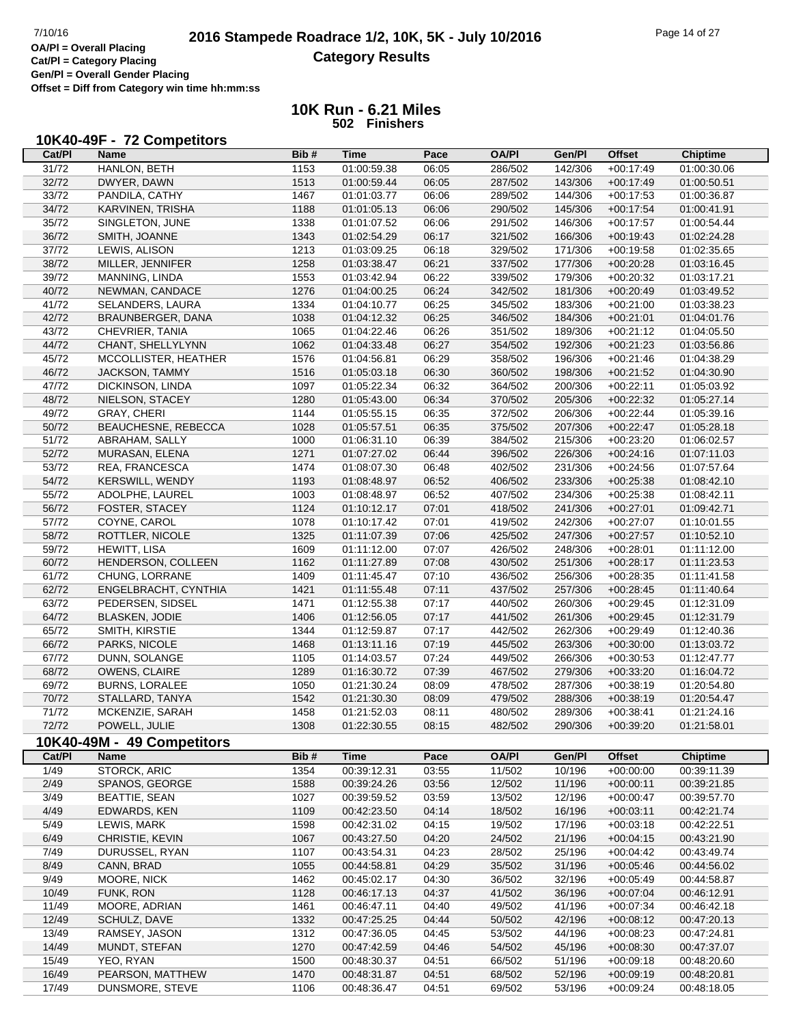# **2016 Stampede Roadrace 1/2, 10K, 5K - July 10/2016** Page 14 of 27<br> **OA/PI** = Overall Placing **2016 Stampede Roadrace 1/2, 10K, 5K - July 10/2016 Category Results**

**Cat/Pl = Category Placing Gen/Pl = Overall Gender Placing**

**Offset = Diff from Category win time hh:mm:ss**

| 10K40-49F - 72 Competitors |  |
|----------------------------|--|
|----------------------------|--|

| Cat/PI | Name                       | Bib# | <b>Time</b> | Pace  | <b>OA/PI</b> | Gen/Pl  | <b>Offset</b> | <b>Chiptime</b> |
|--------|----------------------------|------|-------------|-------|--------------|---------|---------------|-----------------|
| 31/72  | HANLON, BETH               | 1153 | 01:00:59.38 | 06:05 | 286/502      | 142/306 | $+00:17:49$   | 01:00:30.06     |
| 32/72  | DWYER, DAWN                | 1513 | 01:00:59.44 | 06:05 | 287/502      | 143/306 | $+00:17:49$   | 01:00:50.51     |
| 33/72  | PANDILA, CATHY             | 1467 | 01:01:03.77 | 06:06 | 289/502      | 144/306 | $+00:17:53$   | 01:00:36.87     |
| 34/72  | KARVINEN, TRISHA           | 1188 | 01:01:05.13 | 06:06 | 290/502      | 145/306 | $+00:17:54$   | 01:00:41.91     |
| 35/72  | SINGLETON, JUNE            | 1338 | 01:01:07.52 | 06:06 | 291/502      | 146/306 | $+00:17:57$   | 01:00:54.44     |
| 36/72  | SMITH, JOANNE              | 1343 | 01:02:54.29 | 06:17 | 321/502      | 166/306 | $+00:19:43$   | 01:02:24.28     |
| 37/72  | LEWIS, ALISON              | 1213 | 01:03:09.25 | 06:18 | 329/502      | 171/306 | $+00:19:58$   | 01:02:35.65     |
| 38/72  | MILLER, JENNIFER           | 1258 | 01:03:38.47 | 06:21 | 337/502      | 177/306 | $+00:20:28$   | 01:03:16.45     |
| 39/72  | MANNING, LINDA             | 1553 | 01:03:42.94 | 06:22 | 339/502      | 179/306 | $+00:20:32$   | 01:03:17.21     |
| 40/72  | NEWMAN, CANDACE            | 1276 | 01:04:00.25 | 06:24 | 342/502      | 181/306 | $+00:20:49$   | 01:03:49.52     |
| 41/72  | SELANDERS, LAURA           | 1334 | 01:04:10.77 | 06:25 | 345/502      | 183/306 | $+00:21:00$   | 01:03:38.23     |
| 42/72  | BRAUNBERGER, DANA          | 1038 | 01:04:12.32 | 06:25 | 346/502      | 184/306 | $+00:21:01$   | 01:04:01.76     |
| 43/72  | CHEVRIER, TANIA            | 1065 | 01:04:22.46 | 06:26 | 351/502      | 189/306 | $+00:21:12$   | 01:04:05.50     |
| 44/72  | CHANT, SHELLYLYNN          | 1062 | 01:04:33.48 | 06:27 | 354/502      | 192/306 | $+00:21:23$   | 01:03:56.86     |
| 45/72  | MCCOLLISTER, HEATHER       | 1576 | 01:04:56.81 | 06:29 | 358/502      | 196/306 | $+00:21:46$   | 01:04:38.29     |
| 46/72  | JACKSON, TAMMY             | 1516 | 01:05:03.18 | 06:30 | 360/502      | 198/306 | $+00:21:52$   | 01:04:30.90     |
| 47/72  | DICKINSON, LINDA           | 1097 | 01:05:22.34 | 06:32 | 364/502      | 200/306 | $+00:22:11$   | 01:05:03.92     |
| 48/72  | NIELSON, STACEY            | 1280 | 01:05:43.00 | 06:34 | 370/502      | 205/306 | $+00:22:32$   | 01:05:27.14     |
| 49/72  | <b>GRAY, CHERI</b>         | 1144 | 01:05:55.15 | 06:35 | 372/502      | 206/306 | $+00:22:44$   | 01:05:39.16     |
| 50/72  | BEAUCHESNE, REBECCA        | 1028 | 01:05:57.51 | 06:35 | 375/502      | 207/306 | $+00:22:47$   | 01:05:28.18     |
| 51/72  | ABRAHAM, SALLY             | 1000 | 01:06:31.10 | 06:39 | 384/502      | 215/306 | $+00:23:20$   | 01:06:02.57     |
| 52/72  | MURASAN, ELENA             | 1271 | 01:07:27.02 | 06:44 | 396/502      | 226/306 | $+00:24:16$   | 01:07:11.03     |
| 53/72  | REA, FRANCESCA             | 1474 | 01:08:07.30 | 06:48 | 402/502      | 231/306 | $+00:24:56$   | 01:07:57.64     |
| 54/72  | KERSWILL, WENDY            | 1193 | 01:08:48.97 | 06:52 | 406/502      | 233/306 | $+00:25:38$   | 01:08:42.10     |
| 55/72  | ADOLPHE, LAUREL            | 1003 | 01:08:48.97 | 06:52 | 407/502      | 234/306 | $+00:25:38$   | 01:08:42.11     |
| 56/72  | FOSTER, STACEY             | 1124 | 01:10:12.17 | 07:01 | 418/502      | 241/306 | $+00:27:01$   | 01:09:42.71     |
| 57/72  | COYNE, CAROL               | 1078 | 01:10:17.42 | 07:01 | 419/502      | 242/306 | $+00:27:07$   | 01:10:01.55     |
| 58/72  | ROTTLER, NICOLE            | 1325 | 01:11:07.39 | 07:06 | 425/502      | 247/306 | $+00:27:57$   | 01:10:52.10     |
| 59/72  | <b>HEWITT, LISA</b>        | 1609 | 01:11:12.00 | 07:07 | 426/502      | 248/306 | $+00:28:01$   | 01:11:12.00     |
| 60/72  | HENDERSON, COLLEEN         | 1162 | 01:11:27.89 | 07:08 | 430/502      | 251/306 | $+00:28:17$   | 01:11:23.53     |
| 61/72  | CHUNG, LORRANE             | 1409 | 01:11:45.47 | 07:10 | 436/502      | 256/306 | $+00:28:35$   | 01:11:41.58     |
| 62/72  | ENGELBRACHT, CYNTHIA       | 1421 | 01:11:55.48 | 07:11 | 437/502      | 257/306 | $+00:28:45$   | 01:11:40.64     |
| 63/72  | PEDERSEN, SIDSEL           | 1471 | 01:12:55.38 | 07:17 | 440/502      | 260/306 | $+00:29:45$   | 01:12:31.09     |
| 64/72  | <b>BLASKEN, JODIE</b>      | 1406 | 01:12:56.05 | 07:17 | 441/502      | 261/306 | $+00:29:45$   | 01:12:31.79     |
| 65/72  | SMITH, KIRSTIE             | 1344 | 01:12:59.87 | 07:17 | 442/502      | 262/306 | $+00:29:49$   | 01:12:40.36     |
| 66/72  | PARKS, NICOLE              | 1468 | 01:13:11.16 | 07:19 | 445/502      | 263/306 | $+00:30:00$   | 01:13:03.72     |
| 67/72  | DUNN, SOLANGE              | 1105 | 01:14:03.57 | 07:24 | 449/502      | 266/306 | $+00:30:53$   | 01:12:47.77     |
| 68/72  | OWENS, CLAIRE              | 1289 | 01:16:30.72 | 07:39 | 467/502      | 279/306 | $+00:33:20$   | 01:16:04.72     |
| 69/72  | <b>BURNS, LORALEE</b>      | 1050 | 01:21:30.24 | 08:09 | 478/502      | 287/306 | $+00:38:19$   | 01:20:54.80     |
| 70/72  | STALLARD, TANYA            | 1542 | 01:21:30.30 | 08:09 | 479/502      | 288/306 | $+00:38:19$   | 01:20:54.47     |
| 71/72  | MCKENZIE, SARAH            | 1458 | 01:21:52.03 | 08:11 | 480/502      | 289/306 | $+00:38:41$   | 01:21:24.16     |
| 72/72  | POWELL, JULIE              | 1308 | 01:22:30.55 | 08:15 | 482/502      | 290/306 | $+00:39:20$   | 01:21:58.01     |
|        | 10K40-49M - 49 Competitors |      |             |       |              |         |               |                 |
| Cat/PI | <b>Name</b>                | Bib# | <b>Time</b> | Pace  | <b>OA/PI</b> | Gen/Pl  | <b>Offset</b> | <b>Chiptime</b> |
| 1/49   | <b>STORCK, ARIC</b>        | 1354 | 00:39:12.31 | 03:55 | 11/502       | 10/196  | $+00:00:00$   | 00:39:11.39     |
| 2/49   | SPANOS, GEORGE             | 1588 | 00:39:24.26 | 03:56 | 12/502       | 11/196  | $+00:00:11$   | 00:39:21.85     |
| 3/49   | <b>BEATTIE, SEAN</b>       | 1027 | 00:39:59.52 | 03:59 | 13/502       | 12/196  | $+00:00:47$   | 00:39:57.70     |
| 4/49   | EDWARDS, KEN               | 1109 | 00:42:23.50 | 04:14 | 18/502       | 16/196  | $+00:03:11$   | 00:42:21.74     |
| 5/49   | LEWIS, MARK                | 1598 | 00:42:31.02 | 04:15 | 19/502       | 17/196  | $+00:03:18$   | 00:42:22.51     |
| 6/49   | CHRISTIE, KEVIN            | 1067 | 00:43:27.50 | 04:20 | 24/502       | 21/196  | $+00:04:15$   | 00:43:21.90     |
| 7/49   | DURUSSEL, RYAN             | 1107 | 00:43:54.31 | 04:23 | 28/502       | 25/196  | $+00:04:42$   | 00:43:49.74     |
| 8/49   | CANN, BRAD                 | 1055 | 00:44:58.81 | 04:29 | 35/502       | 31/196  | $+00:05:46$   | 00:44:56.02     |
| 9/49   | MOORE, NICK                | 1462 | 00:45:02.17 | 04:30 | 36/502       | 32/196  | $+00:05:49$   | 00:44:58.87     |
| 10/49  | FUNK, RON                  | 1128 | 00:46:17.13 | 04:37 | 41/502       | 36/196  | $+00:07:04$   | 00:46:12.91     |
| 11/49  | MOORE, ADRIAN              | 1461 | 00:46:47.11 | 04:40 | 49/502       | 41/196  | $+00:07:34$   | 00:46:42.18     |
| 12/49  | SCHULZ, DAVE               | 1332 | 00:47:25.25 | 04:44 | 50/502       | 42/196  | $+00:08:12$   | 00:47:20.13     |
| 13/49  | RAMSEY, JASON              | 1312 | 00:47:36.05 | 04:45 | 53/502       | 44/196  | $+00:08:23$   | 00:47:24.81     |
| 14/49  | MUNDT, STEFAN              | 1270 | 00:47:42.59 | 04:46 | 54/502       | 45/196  | $+00:08:30$   | 00:47:37.07     |
| 15/49  | YEO, RYAN                  | 1500 | 00:48:30.37 | 04:51 | 66/502       | 51/196  | $+00:09:18$   | 00:48:20.60     |
| 16/49  | PEARSON, MATTHEW           | 1470 | 00:48:31.87 | 04:51 | 68/502       | 52/196  | $+00:09:19$   | 00:48:20.81     |
| 17/49  | DUNSMORE, STEVE            | 1106 | 00:48:36.47 | 04:51 | 69/502       | 53/196  | $+00:09:24$   | 00:48:18.05     |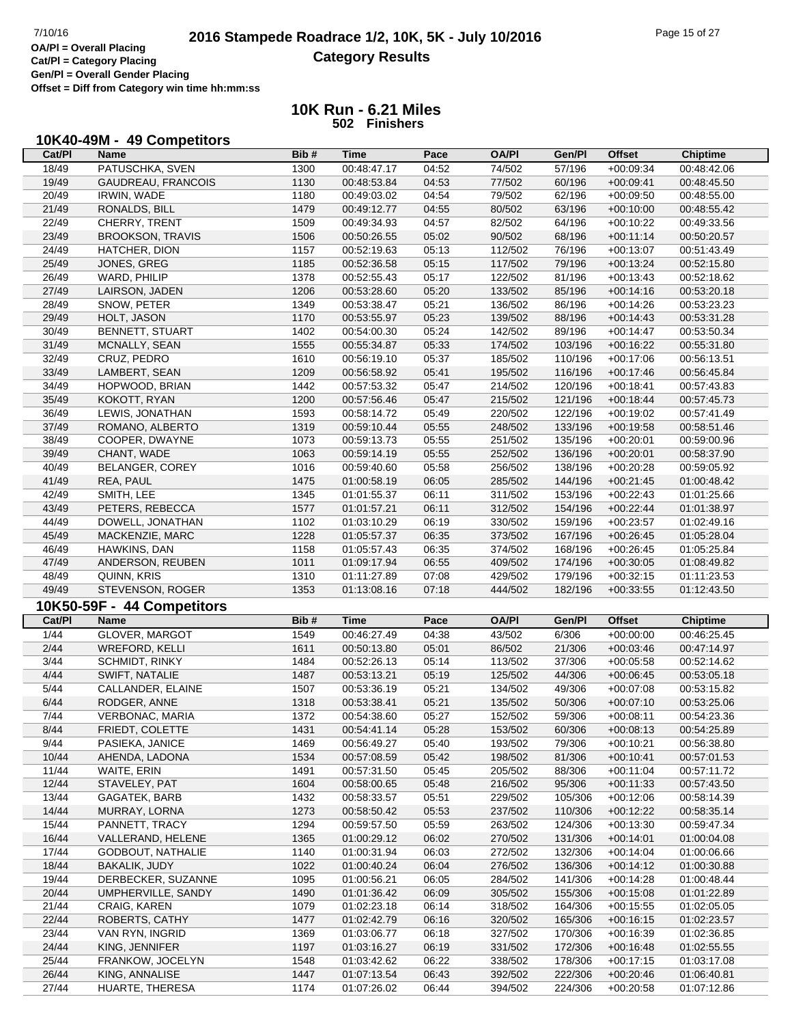**Cat/Pl = Category Placing Gen/Pl = Overall Gender Placing**

**Offset = Diff from Category win time hh:mm:ss**

| 10K40-49M - 49 Competitors |  |
|----------------------------|--|
|----------------------------|--|

| Cat/PI         | Name                       | Bib# | <b>Time</b> | Pace  | <b>OA/PI</b> | Gen/Pl  | <b>Offset</b> | <b>Chiptime</b> |
|----------------|----------------------------|------|-------------|-------|--------------|---------|---------------|-----------------|
| 18/49          | PATUSCHKA, SVEN            | 1300 | 00:48:47.17 | 04:52 | 74/502       | 57/196  | $+00:09:34$   | 00:48:42.06     |
| 19/49          | GAUDREAU, FRANCOIS         | 1130 | 00:48:53.84 | 04:53 | 77/502       | 60/196  | $+00:09:41$   | 00:48:45.50     |
| 20/49          | <b>IRWIN, WADE</b>         | 1180 | 00:49:03.02 | 04:54 | 79/502       | 62/196  | $+00:09:50$   | 00:48:55.00     |
| 21/49          | RONALDS, BILL              | 1479 | 00:49:12.77 | 04:55 | 80/502       | 63/196  | $+00:10:00$   | 00:48:55.42     |
| 22/49          | CHERRY, TRENT              | 1509 | 00:49:34.93 | 04:57 | 82/502       | 64/196  | $+00:10:22$   | 00:49:33.56     |
| 23/49          | <b>BROOKSON, TRAVIS</b>    | 1506 | 00:50:26.55 | 05:02 | 90/502       | 68/196  | $+00:11:14$   | 00:50:20.57     |
| 24/49          | HATCHER, DION              | 1157 | 00:52:19.63 | 05:13 | 112/502      | 76/196  | $+00:13:07$   | 00:51:43.49     |
| 25/49          | JONES, GREG                | 1185 | 00:52:36.58 | 05:15 | 117/502      | 79/196  | $+00:13:24$   | 00:52:15.80     |
| 26/49          | WARD, PHILIP               | 1378 | 00:52:55.43 | 05:17 | 122/502      | 81/196  | $+00:13:43$   | 00:52:18.62     |
| 27/49          | LAIRSON, JADEN             | 1206 | 00:53:28.60 | 05:20 | 133/502      | 85/196  | $+00:14:16$   | 00:53:20.18     |
| 28/49          | SNOW, PETER                | 1349 | 00:53:38.47 | 05:21 | 136/502      | 86/196  | $+00:14:26$   | 00:53:23.23     |
| 29/49          | HOLT, JASON                | 1170 | 00:53:55.97 | 05:23 | 139/502      | 88/196  | $+00:14:43$   | 00:53:31.28     |
| 30/49          | BENNETT, STUART            | 1402 | 00:54:00.30 | 05:24 | 142/502      | 89/196  | $+00:14:47$   | 00:53:50.34     |
| 31/49          | MCNALLY, SEAN              | 1555 | 00:55:34.87 | 05:33 | 174/502      | 103/196 | $+00:16:22$   | 00:55:31.80     |
| 32/49          | CRUZ, PEDRO                | 1610 | 00:56:19.10 | 05:37 | 185/502      | 110/196 | $+00:17:06$   | 00:56:13.51     |
| 33/49          | LAMBERT, SEAN              | 1209 | 00:56:58.92 | 05:41 | 195/502      | 116/196 | $+00:17:46$   | 00:56:45.84     |
| 34/49          | HOPWOOD, BRIAN             | 1442 | 00:57:53.32 | 05:47 | 214/502      | 120/196 | $+00:18:41$   | 00:57:43.83     |
| 35/49          | KOKOTT, RYAN               | 1200 | 00:57:56.46 | 05:47 | 215/502      | 121/196 | $+00:18:44$   | 00:57:45.73     |
| 36/49          | LEWIS, JONATHAN            | 1593 | 00:58:14.72 | 05:49 | 220/502      | 122/196 | $+00:19:02$   | 00:57:41.49     |
| 37/49          | ROMANO, ALBERTO            | 1319 | 00:59:10.44 | 05:55 | 248/502      | 133/196 | $+00:19:58$   | 00:58:51.46     |
| 38/49          | COOPER, DWAYNE             | 1073 | 00:59:13.73 | 05:55 | 251/502      | 135/196 | $+00:20:01$   | 00:59:00.96     |
| 39/49          | CHANT, WADE                | 1063 | 00:59:14.19 | 05:55 | 252/502      | 136/196 | $+00:20:01$   | 00:58:37.90     |
| 40/49          | BELANGER, COREY            | 1016 | 00:59:40.60 | 05:58 | 256/502      | 138/196 | $+00:20:28$   | 00:59:05.92     |
| 41/49          | REA, PAUL                  | 1475 | 01:00:58.19 | 06:05 | 285/502      | 144/196 | $+00:21:45$   | 01:00:48.42     |
| 42/49          | SMITH, LEE                 | 1345 | 01:01:55.37 | 06:11 | 311/502      | 153/196 | $+00:22:43$   | 01:01:25.66     |
| 43/49          | PETERS, REBECCA            | 1577 | 01:01:57.21 | 06:11 | 312/502      | 154/196 | $+00:22:44$   | 01:01:38.97     |
| 44/49          | DOWELL, JONATHAN           | 1102 | 01:03:10.29 | 06:19 | 330/502      | 159/196 | $+00:23:57$   | 01:02:49.16     |
| 45/49          | MACKENZIE, MARC            | 1228 | 01:05:57.37 | 06:35 | 373/502      | 167/196 | $+00:26:45$   | 01:05:28.04     |
| 46/49          | HAWKINS, DAN               | 1158 | 01:05:57.43 | 06:35 | 374/502      | 168/196 | $+00:26:45$   | 01:05:25.84     |
|                |                            | 1011 |             |       |              |         |               |                 |
| 47/49          | ANDERSON, REUBEN           |      | 01:09:17.94 | 06:55 | 409/502      | 174/196 | $+00:30:05$   | 01:08:49.82     |
|                |                            |      |             |       |              |         |               |                 |
| 48/49          | QUINN, KRIS                | 1310 | 01:11:27.89 | 07:08 | 429/502      | 179/196 | $+00:32:15$   | 01:11:23.53     |
| 49/49          | STEVENSON, ROGER           | 1353 | 01:13:08.16 | 07:18 | 444/502      | 182/196 | $+00:33:55$   | 01:12:43.50     |
|                | 10K50-59F - 44 Competitors |      |             |       |              |         |               |                 |
| Cat/PI         | <b>Name</b>                | Bib# | <b>Time</b> | Pace  | <b>OA/PI</b> | Gen/Pl  | <b>Offset</b> | <b>Chiptime</b> |
| 1/44           | GLOVER, MARGOT             | 1549 | 00:46:27.49 | 04:38 | 43/502       | 6/306   | $+00:00:00$   | 00:46:25.45     |
| 2/44           | WREFORD, KELLI             | 1611 | 00:50:13.80 | 05:01 | 86/502       | 21/306  | $+00:03:46$   | 00:47:14.97     |
| 3/44           | SCHMIDT, RINKY             | 1484 | 00:52:26.13 | 05:14 | 113/502      | 37/306  | $+00:05:58$   | 00:52:14.62     |
| 4/44           | SWIFT, NATALIE             | 1487 | 00:53:13.21 | 05:19 | 125/502      | 44/306  | $+00:06:45$   | 00:53:05.18     |
| 5/44           | CALLANDER, ELAINE          | 1507 | 00:53:36.19 | 05:21 | 134/502      | 49/306  | $+00:07:08$   | 00:53:15.82     |
| 6/44           | RODGER, ANNE               | 1318 | 00:53:38.41 | 05:21 | 135/502      | 50/306  | $+00:07:10$   | 00:53:25.06     |
| 7/44           | VERBONAC, MARIA            | 1372 | 00:54:38.60 | 05:27 | 152/502      | 59/306  | $+00:08:11$   | 00:54:23.36     |
| 8/44           | FRIEDT, COLETTE            | 1431 | 00:54:41.14 | 05:28 | 153/502      | 60/306  | $+00:08:13$   | 00:54:25.89     |
| 9/44           | PASIEKA, JANICE            | 1469 | 00:56:49.27 | 05:40 | 193/502      | 79/306  | $+00:10:21$   | 00:56:38.80     |
| 10/44          | AHENDA, LADONA             | 1534 | 00:57:08.59 | 05:42 | 198/502      | 81/306  | $+00:10:41$   | 00:57:01.53     |
| 11/44          | WAITE, ERIN                | 1491 | 00:57:31.50 | 05:45 | 205/502      | 88/306  | $+00:11:04$   | 00:57:11.72     |
| 12/44          | STAVELEY, PAT              | 1604 | 00:58:00.65 | 05:48 | 216/502      | 95/306  | $+00:11:33$   | 00:57:43.50     |
| 13/44          | GAGATEK, BARB              | 1432 | 00:58:33.57 | 05:51 | 229/502      | 105/306 | $+00:12:06$   | 00:58:14.39     |
| 14/44          | MURRAY, LORNA              | 1273 | 00:58:50.42 | 05:53 | 237/502      | 110/306 | $+00:12:22$   | 00:58:35.14     |
| 15/44          | PANNETT, TRACY             | 1294 | 00:59:57.50 | 05:59 | 263/502      | 124/306 | $+00:13:30$   | 00:59:47.34     |
| 16/44          | VALLERAND, HELENE          | 1365 | 01:00:29.12 | 06:02 | 270/502      | 131/306 | $+00:14:01$   | 01:00:04.08     |
| 17/44          | GODBOUT, NATHALIE          | 1140 | 01:00:31.94 | 06:03 | 272/502      | 132/306 | $+00:14:04$   | 01:00:06.66     |
| 18/44          | BAKALIK, JUDY              | 1022 | 01:00:40.24 | 06:04 | 276/502      | 136/306 | $+00:14:12$   | 01:00:30.88     |
| 19/44          | DERBECKER, SUZANNE         | 1095 | 01:00:56.21 | 06:05 | 284/502      | 141/306 | $+00:14:28$   | 01:00:48.44     |
| 20/44          | UMPHERVILLE, SANDY         | 1490 | 01:01:36.42 | 06:09 | 305/502      | 155/306 | $+00:15:08$   | 01:01:22.89     |
| 21/44          | CRAIG, KAREN               | 1079 | 01:02:23.18 | 06:14 | 318/502      | 164/306 | $+00:15:55$   | 01:02:05.05     |
| 22/44          | ROBERTS, CATHY             | 1477 | 01:02:42.79 | 06:16 | 320/502      | 165/306 | $+00:16:15$   | 01:02:23.57     |
| 23/44          | VAN RYN, INGRID            | 1369 | 01:03:06.77 | 06:18 | 327/502      | 170/306 | $+00:16:39$   | 01:02:36.85     |
| 24/44          | KING, JENNIFER             | 1197 | 01:03:16.27 | 06:19 | 331/502      | 172/306 | $+00:16:48$   | 01:02:55.55     |
| 25/44          | FRANKOW, JOCELYN           | 1548 | 01:03:42.62 | 06:22 | 338/502      | 178/306 | $+00:17:15$   | 01:03:17.08     |
| 26/44<br>27/44 | KING, ANNALISE             | 1447 | 01:07:13.54 | 06:43 | 392/502      | 222/306 | $+00:20:46$   | 01:06:40.81     |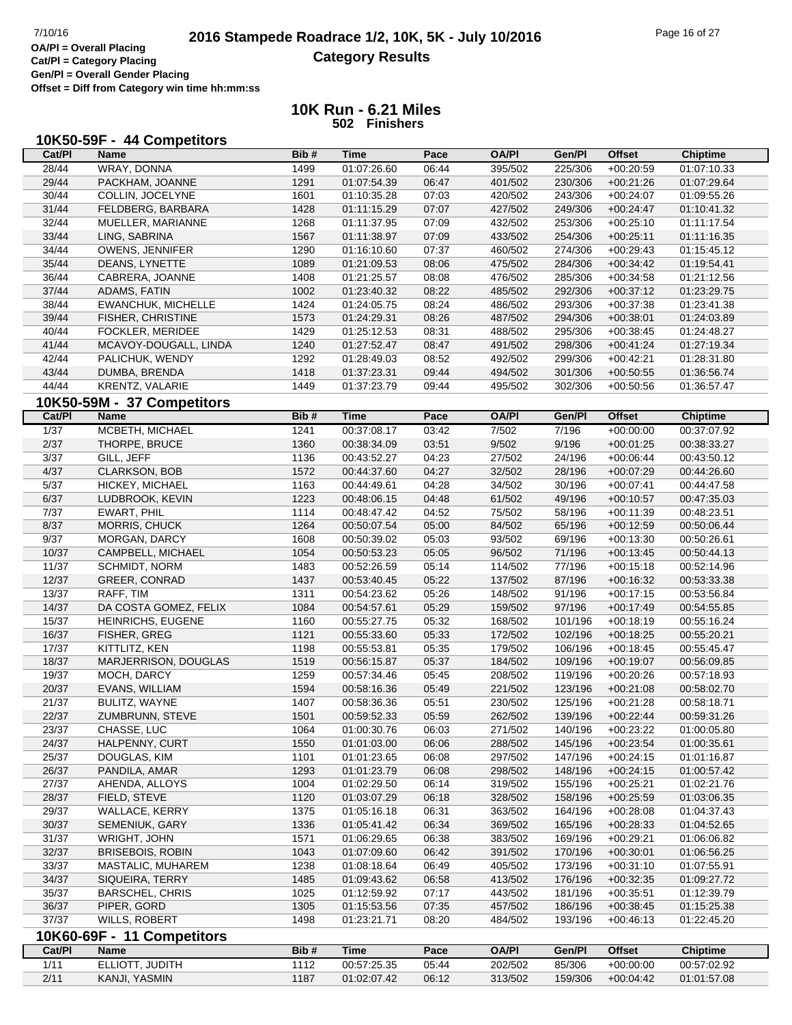# **2016 Stampede Roadrace 1/2, 10K, 5K - July 10/2016** Page 16 of 27<br> **OA/PI** = Overall Placing **2016 Stampede Roadrace 1/2, 10K, 5K - July 10/2016 Category Results**

**Cat/Pl = Category Placing Gen/Pl = Overall Gender Placing**

**Offset = Diff from Category win time hh:mm:ss**

|                | 10K50-59F - 44 Competitors |      |             |       |              |         |               |                 |
|----------------|----------------------------|------|-------------|-------|--------------|---------|---------------|-----------------|
| Cat/PI         | <b>Name</b>                | Bib# | <b>Time</b> | Pace  | <b>OA/PI</b> | Gen/PI  | <b>Offset</b> | <b>Chiptime</b> |
| 28/44          | <b>WRAY, DONNA</b>         | 1499 | 01:07:26.60 | 06:44 | 395/502      | 225/306 | $+00:20:59$   | 01:07:10.33     |
| 29/44          | PACKHAM, JOANNE            | 1291 | 01:07:54.39 | 06:47 | 401/502      | 230/306 | $+00:21:26$   | 01:07:29.64     |
| 30/44          | COLLIN, JOCELYNE           | 1601 | 01:10:35.28 | 07:03 | 420/502      | 243/306 | $+00:24:07$   | 01:09:55.26     |
| 31/44          | FELDBERG, BARBARA          | 1428 | 01:11:15.29 | 07:07 | 427/502      | 249/306 | $+00:24:47$   | 01:10:41.32     |
| 32/44          | MUELLER, MARIANNE          | 1268 | 01:11:37.95 | 07:09 | 432/502      | 253/306 | $+00:25:10$   | 01:11:17.54     |
| 33/44          | LING, SABRINA              | 1567 | 01:11:38.97 | 07:09 | 433/502      | 254/306 | $+00:25:11$   | 01:11:16.35     |
| 34/44          | OWENS, JENNIFER            | 1290 | 01:16:10.60 | 07:37 | 460/502      | 274/306 | $+00:29:43$   | 01:15:45.12     |
| 35/44          | DEANS, LYNETTE             | 1089 | 01:21:09.53 | 08:06 | 475/502      | 284/306 | $+00:34:42$   | 01:19:54.41     |
| 36/44          | CABRERA, JOANNE            | 1408 | 01:21:25.57 | 08:08 | 476/502      | 285/306 | $+00:34:58$   | 01:21:12.56     |
| 37/44          | ADAMS, FATIN               | 1002 | 01:23:40.32 | 08:22 | 485/502      | 292/306 | $+00:37:12$   | 01:23:29.75     |
| 38/44          | <b>EWANCHUK, MICHELLE</b>  | 1424 | 01:24:05.75 | 08:24 | 486/502      | 293/306 | $+00:37:38$   | 01:23:41.38     |
| 39/44          | FISHER, CHRISTINE          | 1573 | 01:24:29.31 | 08:26 | 487/502      | 294/306 | $+00:38:01$   | 01:24:03.89     |
| 40/44          | <b>FOCKLER, MERIDEE</b>    | 1429 | 01:25:12.53 | 08:31 | 488/502      | 295/306 | $+00:38:45$   | 01:24:48.27     |
| 41/44          | MCAVOY-DOUGALL, LINDA      | 1240 | 01:27:52.47 | 08:47 | 491/502      | 298/306 | $+00:41:24$   | 01:27:19.34     |
| 42/44          | PALICHUK, WENDY            | 1292 | 01:28:49.03 | 08:52 | 492/502      | 299/306 | $+00:42:21$   | 01:28:31.80     |
| 43/44          | DUMBA, BRENDA              | 1418 | 01:37:23.31 | 09:44 | 494/502      | 301/306 | $+00:50:55$   | 01:36:56.74     |
| 44/44          | KRENTZ, VALARIE            | 1449 | 01:37:23.79 | 09:44 | 495/502      | 302/306 | $+00:50:56$   | 01:36:57.47     |
|                | 10K50-59M - 37 Competitors |      |             |       |              |         |               |                 |
| Cat/PI         | <b>Name</b>                | Bib# | <b>Time</b> | Pace  | <b>OA/PI</b> | Gen/Pl  | <b>Offset</b> | <b>Chiptime</b> |
| $\frac{1}{37}$ | MCBETH, MICHAEL            | 1241 | 00:37:08.17 | 03:42 | 7/502        | 7/196   | $+00:00:00$   | 00:37:07.92     |
| 2/37           | THORPE, BRUCE              | 1360 | 00:38:34.09 | 03:51 | 9/502        | 9/196   | $+00:01:25$   | 00:38:33.27     |
| 3/37           | GILL, JEFF                 | 1136 | 00:43:52.27 | 04:23 | 27/502       | 24/196  | $+00:06:44$   | 00:43:50.12     |
| 4/37           | CLARKSON, BOB              | 1572 | 00:44:37.60 | 04:27 | 32/502       | 28/196  | $+00:07:29$   | 00:44:26.60     |
| 5/37           | HICKEY, MICHAEL            | 1163 | 00:44:49.61 | 04:28 | 34/502       | 30/196  | $+00:07:41$   | 00:44:47.58     |
| 6/37           | LUDBROOK, KEVIN            | 1223 | 00:48:06.15 | 04:48 | 61/502       | 49/196  | $+00:10:57$   | 00:47:35.03     |
| 7/37           | EWART, PHIL                | 1114 | 00:48:47.42 | 04:52 | 75/502       | 58/196  | $+00:11:39$   | 00:48:23.51     |
| 8/37           | MORRIS, CHUCK              |      |             |       |              |         |               |                 |
| 9/37           |                            | 1264 | 00:50:07.54 | 05:00 | 84/502       | 65/196  | $+00:12:59$   | 00:50:06.44     |
|                | MORGAN, DARCY              | 1608 | 00:50:39.02 | 05:03 | 93/502       | 69/196  | $+00:13:30$   | 00:50:26.61     |
| 10/37          | CAMPBELL, MICHAEL          | 1054 | 00:50:53.23 | 05:05 | 96/502       | 71/196  | $+00:13:45$   | 00:50:44.13     |
| 11/37          | <b>SCHMIDT, NORM</b>       | 1483 | 00:52:26.59 | 05:14 | 114/502      | 77/196  | $+00:15:18$   | 00:52:14.96     |
| 12/37          | <b>GREER, CONRAD</b>       | 1437 | 00:53:40.45 | 05:22 | 137/502      | 87/196  | $+00:16:32$   | 00:53:33.38     |
| 13/37          | RAFF, TIM                  | 1311 | 00:54:23.62 | 05:26 | 148/502      | 91/196  | $+00:17:15$   | 00:53:56.84     |
| 14/37          | DA COSTA GOMEZ, FELIX      | 1084 | 00:54:57.61 | 05:29 | 159/502      | 97/196  | $+00:17:49$   | 00:54:55.85     |
| 15/37          | HEINRICHS, EUGENE          | 1160 | 00:55:27.75 | 05:32 | 168/502      | 101/196 | $+00:18:19$   | 00:55:16.24     |
| 16/37          | FISHER, GREG               | 1121 | 00:55:33.60 | 05:33 | 172/502      | 102/196 | $+00:18:25$   | 00:55:20.21     |
| 17/37          | KITTLITZ, KEN              | 1198 | 00:55:53.81 | 05:35 | 179/502      | 106/196 | $+00:18:45$   | 00:55:45.47     |
| 18/37          | MARJERRISON, DOUGLAS       | 1519 | 00:56:15.87 | 05:37 | 184/502      | 109/196 | $+00:19:07$   | 00:56:09.85     |
| 19/37          | MOCH, DARCY                | 1259 | 00:57:34.46 | 05:45 | 208/502      | 119/196 | $+00:20:26$   | 00:57:18.93     |
| 20/37          | EVANS, WILLIAM             | 1594 | 00:58:16.36 | 05:49 | 221/502      | 123/196 | $+00:21:08$   | 00:58:02.70     |
| 21/37          | <b>BULITZ, WAYNE</b>       | 1407 | 00:58:36.36 | 05:51 | 230/502      | 125/196 | $+00:21:28$   | 00:58:18.71     |
| 22/37          | ZUMBRUNN, STEVE            | 1501 | 00:59:52.33 | 05:59 | 262/502      | 139/196 | $+00.22.44$   | 00:59:31.26     |
| 23/37          | CHASSE, LUC                | 1064 | 01:00:30.76 | 06:03 | 271/502      | 140/196 | $+00:23:22$   | 01:00:05.80     |
| 24/37          | HALPENNY, CURT             | 1550 | 01:01:03.00 | 06:06 | 288/502      | 145/196 | $+00:23:54$   | 01:00:35.61     |
| 25/37          | DOUGLAS, KIM               | 1101 | 01:01:23.65 | 06:08 | 297/502      | 147/196 | $+00:24:15$   | 01:01:16.87     |
| 26/37          | PANDILA, AMAR              | 1293 | 01:01:23.79 | 06:08 | 298/502      | 148/196 | $+00:24:15$   | 01:00:57.42     |
| 27/37          | AHENDA, ALLOYS             | 1004 | 01:02:29.50 | 06:14 | 319/502      | 155/196 | $+00:25:21$   | 01:02:21.76     |
| 28/37          | FIELD, STEVE               | 1120 | 01:03:07.29 | 06:18 | 328/502      | 158/196 | $+00:25:59$   | 01:03:06.35     |
| 29/37          | <b>WALLACE, KERRY</b>      | 1375 | 01:05:16.18 | 06:31 | 363/502      | 164/196 | $+00:28:08$   | 01:04:37.43     |
| 30/37          | SEMENIUK, GARY             | 1336 | 01:05:41.42 | 06:34 | 369/502      | 165/196 | $+00:28:33$   | 01:04:52.65     |
| 31/37          | <b>WRIGHT, JOHN</b>        | 1571 | 01:06:29.65 | 06:38 | 383/502      | 169/196 | $+00:29:21$   | 01:06:06.82     |
| 32/37          | <b>BRISEBOIS, ROBIN</b>    | 1043 | 01:07:09.60 | 06:42 | 391/502      | 170/196 | $+00:30:01$   | 01:06:56.25     |
| 33/37          | MASTALIC, MUHAREM          | 1238 | 01:08:18.64 | 06:49 | 405/502      | 173/196 | $+00:31:10$   | 01:07:55.91     |
| 34/37          | SIQUEIRA, TERRY            | 1485 | 01:09:43.62 | 06:58 | 413/502      | 176/196 | $+00:32:35$   | 01:09:27.72     |
| 35/37          | <b>BARSCHEL, CHRIS</b>     | 1025 | 01:12:59.92 | 07:17 | 443/502      | 181/196 | $+00:35:51$   | 01:12:39.79     |
| 36/37          | PIPER, GORD                | 1305 | 01:15:53.56 | 07:35 | 457/502      | 186/196 | $+00:38:45$   | 01:15:25.38     |
| 37/37          | WILLS, ROBERT              | 1498 | 01:23:21.71 | 08:20 | 484/502      | 193/196 | $+00:46:13$   | 01:22:45.20     |
|                | 10K60-69F - 11 Competitors |      |             |       |              |         |               |                 |
| Cat/PI         | Name                       | Bib# | <b>Time</b> | Pace  | <b>OA/PI</b> | Gen/PI  | <b>Offset</b> | <b>Chiptime</b> |
| 1/11           | ELLIOTT, JUDITH            | 1112 | 00:57:25.35 | 05:44 | 202/502      | 85/306  | $+00:00:00$   | 00:57:02.92     |
| 2/11           | KANJI, YASMIN              | 1187 | 01:02:07.42 | 06:12 | 313/502      | 159/306 | $+00:04:42$   | 01:01:57.08     |
|                |                            |      |             |       |              |         |               |                 |